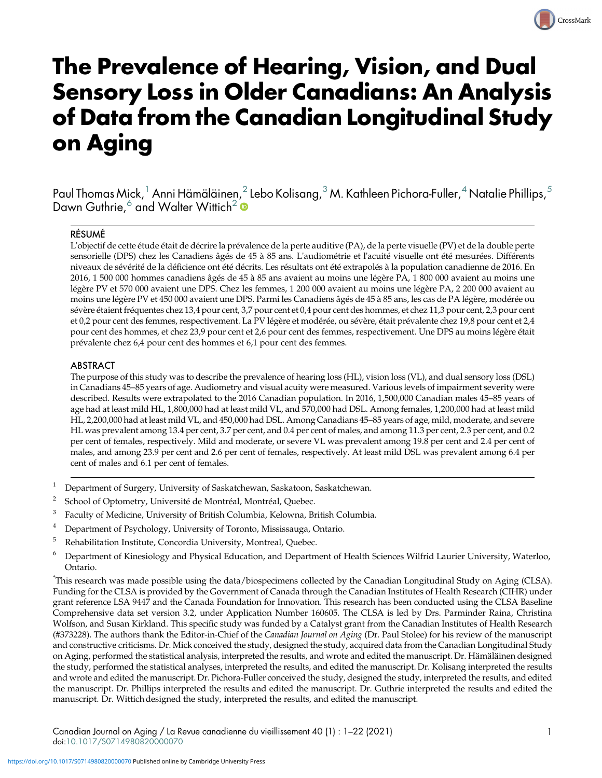# The Prevalence of Hearing, Vision, and Dual Sensory Loss in Older Canadians: An Analysis of Data from the Canadian Longitudinal Study on Aging

Paul Thomas Mick,<sup>1</sup> Anni Hämäläinen,<sup>2</sup> Lebo Kolisang,<sup>3</sup> M. Kathleen Pichora-Fuller,<sup>4</sup> Natalie Phillips,<sup>5</sup> Dawn Guthrie,<sup>6</sup> and Walter Wittich<sup>2</sup>

#### RÉSUMÉ

L'objectif de cette étude était de décrire la prévalence de la perte auditive (PA), de la perte visuelle (PV) et de la double perte sensorielle (DPS) chez les Canadiens âgés de 45 à 85 ans. L'audiométrie et l'acuité visuelle ont été mesurées. Différents niveaux de sévérité de la déficience ont été décrits. Les résultats ont été extrapolés à la population canadienne de 2016. En 2016, 1 500 000 hommes canadiens âgés de 45 à 85 ans avaient au moins une légère PA, 1 800 000 avaient au moins une légère PV et 570 000 avaient une DPS. Chez les femmes, 1 200 000 avaient au moins une légère PA, 2 200 000 avaient au moins une légère PV et 450 000 avaient une DPS. Parmi les Canadiens âgés de 45 à 85 ans, les cas de PA légère, modérée ou sévère étaient fréquentes chez 13,4 pour cent, 3,7 pour cent et 0,4 pour cent des hommes, et chez 11,3 pour cent, 2,3 pour cent et 0,2 pour cent des femmes, respectivement. La PV légère et modérée, ou sévère, était prévalente chez 19,8 pour cent et 2,4 pour cent des hommes, et chez 23,9 pour cent et 2,6 pour cent des femmes, respectivement. Une DPS au moins légère était prévalente chez 6,4 pour cent des hommes et 6,1 pour cent des femmes.

#### ABSTRACT

The purpose of this study was to describe the prevalence of hearing loss (HL), vision loss (VL), and dual sensory loss (DSL) in Canadians 45–85 years of age. Audiometry and visual acuity were measured. Various levels of impairment severity were described. Results were extrapolated to the 2016 Canadian population. In 2016, 1,500,000 Canadian males 45–85 years of age had at least mild HL, 1,800,000 had at least mild VL, and 570,000 had DSL. Among females, 1,200,000 had at least mild HL, 2,200,000 had at least mild VL, and 450,000 had DSL. Among Canadians 45–85 years of age, mild, moderate, and severe HL was prevalent among 13.4 per cent, 3.7 per cent, and 0.4 per cent of males, and among 11.3 per cent, 2.3 per cent, and 0.2 per cent of females, respectively. Mild and moderate, or severe VL was prevalent among 19.8 per cent and 2.4 per cent of males, and among 23.9 per cent and 2.6 per cent of females, respectively. At least mild DSL was prevalent among 6.4 per cent of males and 6.1 per cent of females.

- Department of Surgery, University of Saskatchewan, Saskatoon, Saskatchewan.
- <sup>2</sup> School of Optometry, Université de Montréal, Montréal, Quebec.
- Faculty of Medicine, University of British Columbia, Kelowna, British Columbia.
- Department of Psychology, University of Toronto, Mississauga, Ontario.
- <sup>5</sup> Rehabilitation Institute, Concordia University, Montreal, Quebec.
- <sup>6</sup> Department of Kinesiology and Physical Education, and Department of Health Sciences Wilfrid Laurier University, Waterloo, Ontario.

\* This research was made possible using the data/biospecimens collected by the Canadian Longitudinal Study on Aging (CLSA). Funding for the CLSA is provided by the Government of Canada through the Canadian Institutes of Health Research (CIHR) under grant reference LSA 9447 and the Canada Foundation for Innovation. This research has been conducted using the CLSA Baseline Comprehensive data set version 3.2, under Application Number 160605. The CLSA is led by Drs. Parminder Raina, Christina Wolfson, and Susan Kirkland. This specific study was funded by a Catalyst grant from the Canadian Institutes of Health Research (#373228). The authors thank the Editor-in-Chief of the Canadian Journal on Aging (Dr. Paul Stolee) for his review of the manuscript and constructive criticisms. Dr. Mick conceived the study, designed the study, acquired data from the Canadian Longitudinal Study on Aging, performed the statistical analysis, interpreted the results, and wrote and edited the manuscript. Dr. Hämäläinen designed the study, performed the statistical analyses, interpreted the results, and edited the manuscript. Dr. Kolisang interpreted the results and wrote and edited the manuscript. Dr. Pichora-Fuller conceived the study, designed the study, interpreted the results, and edited the manuscript. Dr. Phillips interpreted the results and edited the manuscript. Dr. Guthrie interpreted the results and edited the manuscript. Dr. Wittich designed the study, interpreted the results, and edited the manuscript.

CrossMark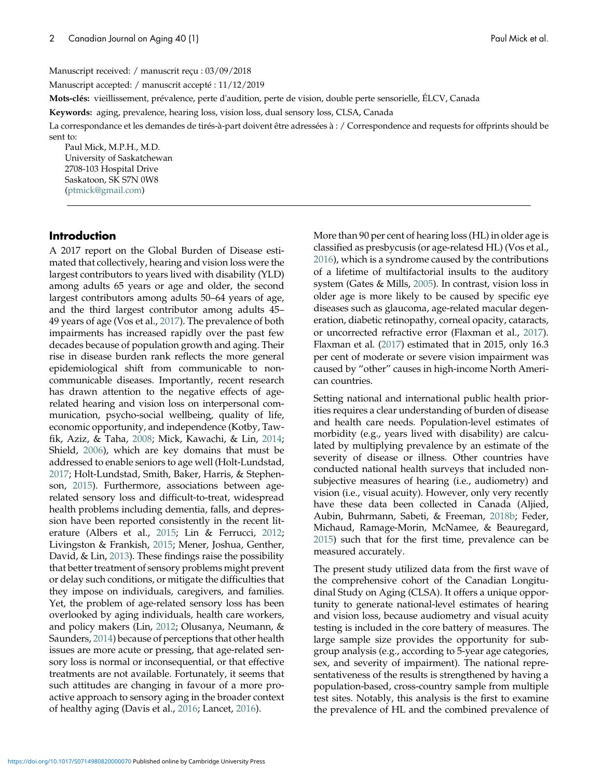Manuscript received: / manuscrit reçu : 03/09/2018

Manuscript accepted: / manuscrit accepté : 11/12/2019

Mots-clés: vieillissement, prévalence, perte d'audition, perte de vision, double perte sensorielle, ÉLCV, Canada

Keywords: aging, prevalence, hearing loss, vision loss, dual sensory loss, CLSA, Canada

La correspondance et les demandes de tirés-à-part doivent être adressées à : / Correspondence and requests for offprints should be sent to:

Paul Mick, M.P.H., M.D. University of Saskatchewan 2708-103 Hospital Drive Saskatoon, SK S7N 0W8 ([ptmick@gmail.com](mailto:ptmick@gmail.com))

#### Introduction

A 2017 report on the Global Burden of Disease estimated that collectively, hearing and vision loss were the largest contributors to years lived with disability (YLD) among adults 65 years or age and older, the second largest contributors among adults 50–64 years of age, and the third largest contributor among adults 45– 49 years of age (Vos et al., [2017\)](#page-20-0). The prevalence of both impairments has increased rapidly over the past few decades because of population growth and aging. Their rise in disease burden rank reflects the more general epidemiological shift from communicable to noncommunicable diseases. Importantly, recent research has drawn attention to the negative effects of agerelated hearing and vision loss on interpersonal communication, psycho-social wellbeing, quality of life, economic opportunity, and independence (Kotby, Tawfik, Aziz, & Taha, [2008;](#page-18-0) Mick, Kawachi, & Lin, [2014;](#page-19-0) Shield, [2006\)](#page-19-0), which are key domains that must be addressed to enable seniors to age well (Holt-Lundstad, [2017](#page-18-0); Holt-Lundstad, Smith, Baker, Harris, & Stephenson, [2015\)](#page-18-0). Furthermore, associations between agerelated sensory loss and difficult-to-treat, widespread health problems including dementia, falls, and depression have been reported consistently in the recent literature (Albers et al., [2015;](#page-16-0) Lin & Ferrucci, [2012;](#page-18-0) Livingston & Frankish, [2015;](#page-18-0) Mener, Joshua, Genther, David, & Lin, [2013](#page-19-0)). These findings raise the possibility that better treatment of sensory problems might prevent or delay such conditions, or mitigate the difficulties that they impose on individuals, caregivers, and families. Yet, the problem of age-related sensory loss has been overlooked by aging individuals, health care workers, and policy makers (Lin, [2012;](#page-18-0) Olusanya, Neumann, & Saunders, [2014\)](#page-19-0) because of perceptions that other health issues are more acute or pressing, that age-related sensory loss is normal or inconsequential, or that effective treatments are not available. Fortunately, it seems that such attitudes are changing in favour of a more proactive approach to sensory aging in the broader context of healthy aging (Davis et al., [2016;](#page-17-0) Lancet, [2016](#page-18-0)).

More than 90 per cent of hearing loss (HL) in older age is classified as presbycusis (or age-relatesd HL) (Vos et al., [2016](#page-20-0)), which is a syndrome caused by the contributions of a lifetime of multifactorial insults to the auditory system (Gates & Mills, [2005\)](#page-17-0). In contrast, vision loss in older age is more likely to be caused by specific eye diseases such as glaucoma, age-related macular degeneration, diabetic retinopathy, corneal opacity, cataracts, or uncorrected refractive error (Flaxman et al., [2017](#page-17-0)). Flaxman et al. [\(2017](#page-17-0)) estimated that in 2015, only 16.3 per cent of moderate or severe vision impairment was caused by "other" causes in high-income North American countries.

Setting national and international public health priorities requires a clear understanding of burden of disease and health care needs. Population-level estimates of morbidity (e.g., years lived with disability) are calculated by multiplying prevalence by an estimate of the severity of disease or illness. Other countries have conducted national health surveys that included nonsubjective measures of hearing (i.e., audiometry) and vision (i.e., visual acuity). However, only very recently have these data been collected in Canada (Aljied, Aubin, Buhrmann, Sabeti, & Freeman, [2018b;](#page-17-0) Feder, Michaud, Ramage-Morin, McNamee, & Beauregard, [2015](#page-17-0)) such that for the first time, prevalence can be measured accurately.

The present study utilized data from the first wave of the comprehensive cohort of the Canadian Longitudinal Study on Aging (CLSA). It offers a unique opportunity to generate national-level estimates of hearing and vision loss, because audiometry and visual acuity testing is included in the core battery of measures. The large sample size provides the opportunity for subgroup analysis (e.g., according to 5-year age categories, sex, and severity of impairment). The national representativeness of the results is strengthened by having a population-based, cross-country sample from multiple test sites. Notably, this analysis is the first to examine the prevalence of HL and the combined prevalence of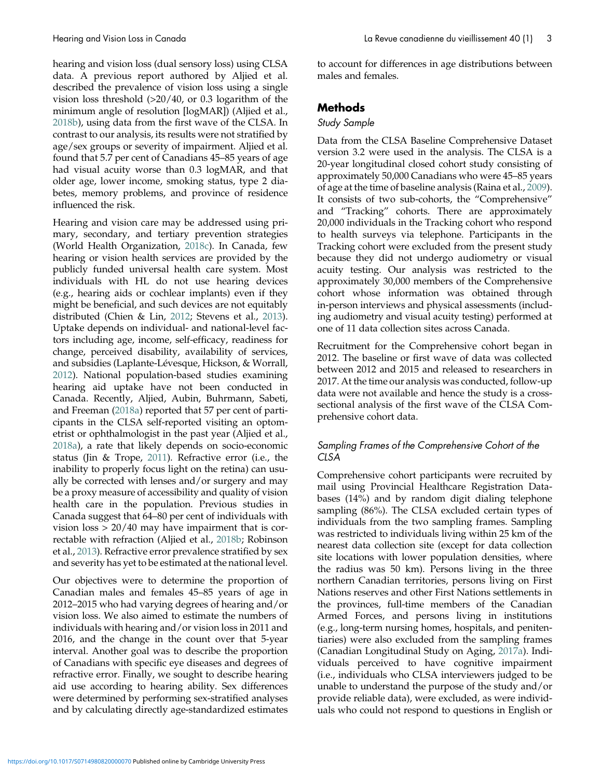hearing and vision loss (dual sensory loss) using CLSA data. A previous report authored by Aljied et al. described the prevalence of vision loss using a single vision loss threshold (>20/40, or 0.3 logarithm of the minimum angle of resolution [logMAR]) (Aljied et al., [2018b](#page-17-0)), using data from the first wave of the CLSA. In contrast to our analysis, its results were not stratified by age/sex groups or severity of impairment. Aljied et al. found that 5.7 per cent of Canadians 45–85 years of age had visual acuity worse than 0.3 logMAR, and that older age, lower income, smoking status, type 2 diabetes, memory problems, and province of residence influenced the risk.

Hearing and vision care may be addressed using primary, secondary, and tertiary prevention strategies (World Health Organization, [2018c](#page-20-0)). In Canada, few hearing or vision health services are provided by the publicly funded universal health care system. Most individuals with HL do not use hearing devices (e.g., hearing aids or cochlear implants) even if they might be beneficial, and such devices are not equitably distributed (Chien & Lin, [2012](#page-17-0); Stevens et al., [2013](#page-20-0)). Uptake depends on individual- and national-level factors including age, income, self-efficacy, readiness for change, perceived disability, availability of services, and subsidies (Laplante-Lévesque, Hickson, & Worrall, [2012\)](#page-18-0). National population-based studies examining hearing aid uptake have not been conducted in Canada. Recently, Aljied, Aubin, Buhrmann, Sabeti, and Freeman ([2018a\)](#page-17-0) reported that 57 per cent of participants in the CLSA self-reported visiting an optometrist or ophthalmologist in the past year (Aljied et al., [2018a\)](#page-17-0), a rate that likely depends on socio-economic status (Jin & Trope, [2011](#page-18-0)). Refractive error (i.e., the inability to properly focus light on the retina) can usually be corrected with lenses and/or surgery and may be a proxy measure of accessibility and quality of vision health care in the population. Previous studies in Canada suggest that 64–80 per cent of individuals with vision  $loss > 20/40$  may have impairment that is correctable with refraction (Aljied et al., [2018b;](#page-17-0) Robinson et al., [2013](#page-19-0)). Refractive error prevalence stratified by sex and severity has yet to be estimated at the national level.

Our objectives were to determine the proportion of Canadian males and females 45–85 years of age in 2012–2015 who had varying degrees of hearing and/or vision loss. We also aimed to estimate the numbers of individuals with hearing and/or vision loss in 2011 and 2016, and the change in the count over that 5-year interval. Another goal was to describe the proportion of Canadians with specific eye diseases and degrees of refractive error. Finally, we sought to describe hearing aid use according to hearing ability. Sex differences were determined by performing sex-stratified analyses and by calculating directly age-standardized estimates to account for differences in age distributions between males and females.

# **Methods**

## Study Sample

Data from the CLSA Baseline Comprehensive Dataset version 3.2 were used in the analysis. The CLSA is a 20-year longitudinal closed cohort study consisting of approximately 50,000 Canadians who were 45–85 years of age at the time of baseline analysis (Raina et al., [2009](#page-19-0)). It consists of two sub-cohorts, the "Comprehensive" and "Tracking" cohorts. There are approximately 20,000 individuals in the Tracking cohort who respond to health surveys via telephone. Participants in the Tracking cohort were excluded from the present study because they did not undergo audiometry or visual acuity testing. Our analysis was restricted to the approximately 30,000 members of the Comprehensive cohort whose information was obtained through in-person interviews and physical assessments (including audiometry and visual acuity testing) performed at one of 11 data collection sites across Canada.

Recruitment for the Comprehensive cohort began in 2012. The baseline or first wave of data was collected between 2012 and 2015 and released to researchers in 2017. At the time our analysis was conducted, follow-up data were not available and hence the study is a crosssectional analysis of the first wave of the CLSA Comprehensive cohort data.

# Sampling Frames of the Comprehensive Cohort of the CLSA

Comprehensive cohort participants were recruited by mail using Provincial Healthcare Registration Databases (14%) and by random digit dialing telephone sampling (86%). The CLSA excluded certain types of individuals from the two sampling frames. Sampling was restricted to individuals living within 25 km of the nearest data collection site (except for data collection site locations with lower population densities, where the radius was 50 km). Persons living in the three northern Canadian territories, persons living on First Nations reserves and other First Nations settlements in the provinces, full-time members of the Canadian Armed Forces, and persons living in institutions (e.g., long-term nursing homes, hospitals, and penitentiaries) were also excluded from the sampling frames (Canadian Longitudinal Study on Aging, [2017a](#page-17-0)). Individuals perceived to have cognitive impairment (i.e., individuals who CLSA interviewers judged to be unable to understand the purpose of the study and/or provide reliable data), were excluded, as were individuals who could not respond to questions in English or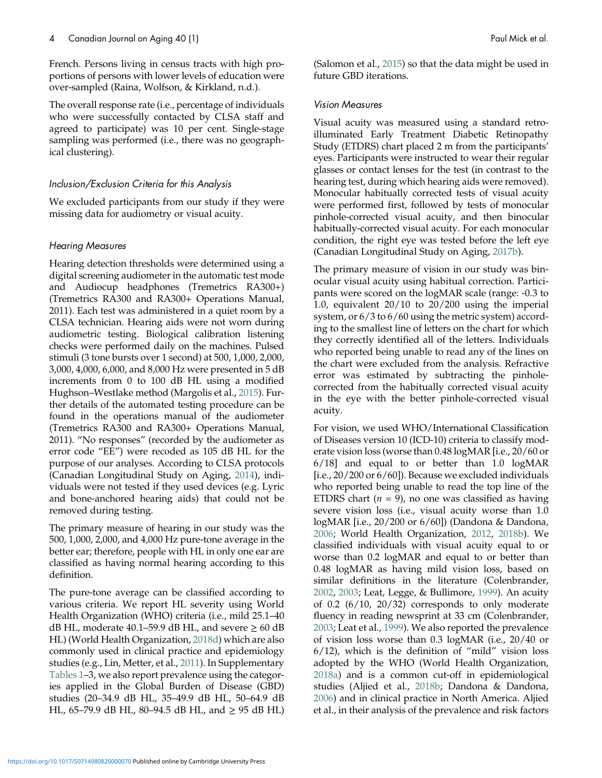French. Persons living in census tracts with high proportions of persons with lower levels of education were over-sampled (Raina, Wolfson, & Kirkland, n.d.).

The overall response rate (i.e., percentage of individuals who were successfully contacted by CLSA staff and agreed to participate) was 10 per cent. Single-stage sampling was performed (i.e., there was no geographical clustering).

#### Inclusion/Exclusion Criteria for this Analysis

We excluded participants from our study if they were missing data for audiometry or visual acuity.

#### Hearing Measures

Hearing detection thresholds were determined using a digital screening audiometer in the automatic test mode and Audiocup headphones (Tremetrics RA300+) (Tremetrics RA300 and RA300+ Operations Manual, 2011). Each test was administered in a quiet room by a CLSA technician. Hearing aids were not worn during audiometric testing. Biological calibration listening checks were performed daily on the machines. Pulsed stimuli (3 tone bursts over 1 second) at 500, 1,000, 2,000, 3,000, 4,000, 6,000, and 8,000 Hz were presented in 5 dB increments from 0 to 100 dB HL using a modified Hughson–Westlake method (Margolis et al., [2015\)](#page-19-0). Further details of the automated testing procedure can be found in the operations manual of the audiometer (Tremetrics RA300 and RA300+ Operations Manual, 2011). "No responses" (recorded by the audiometer as error code "EE") were recoded as 105 dB HL for the purpose of our analyses. According to CLSA protocols (Canadian Longitudinal Study on Aging, [2014\)](#page-17-0), individuals were not tested if they used devices (e.g. Lyric and bone-anchored hearing aids) that could not be removed during testing.

The primary measure of hearing in our study was the 500, 1,000, 2,000, and 4,000 Hz pure-tone average in the better ear; therefore, people with HL in only one ear are classified as having normal hearing according to this definition.

The pure-tone average can be classified according to various criteria. We report HL severity using World Health Organization (WHO) criteria (i.e., mild 25.1–40 dB HL, moderate 40.1–59.9 dB HL, and severe  $\geq 60$  dB HL) (World Health Organization, [2018d](#page-20-0)) which are also commonly used in clinical practice and epidemiology studies (e.g., Lin, Metter, et al., [2011](#page-18-0)). In Supplementary [Tables 1](#page-5-0)–3, we also report prevalence using the categories applied in the Global Burden of Disease (GBD) studies (20–34.9 dB HL, 35–49.9 dB HL, 50–64.9 dB HL, 65–79.9 dB HL, 80–94.5 dB HL, and ≥ 95 dB HL)

(Salomon et al., [2015\)](#page-19-0) so that the data might be used in future GBD iterations.

#### Vision Measures

Visual acuity was measured using a standard retroilluminated Early Treatment Diabetic Retinopathy Study (ETDRS) chart placed 2 m from the participants' eyes. Participants were instructed to wear their regular glasses or contact lenses for the test (in contrast to the hearing test, during which hearing aids were removed). Monocular habitually corrected tests of visual acuity were performed first, followed by tests of monocular pinhole-corrected visual acuity, and then binocular habitually-corrected visual acuity. For each monocular condition, the right eye was tested before the left eye (Canadian Longitudinal Study on Aging, [2017b\)](#page-17-0).

The primary measure of vision in our study was binocular visual acuity using habitual correction. Participants were scored on the logMAR scale (range: -0.3 to 1.0, equivalent 20/10 to 20/200 using the imperial system, or 6/3 to 6/60 using the metric system) according to the smallest line of letters on the chart for which they correctly identified all of the letters. Individuals who reported being unable to read any of the lines on the chart were excluded from the analysis. Refractive error was estimated by subtracting the pinholecorrected from the habitually corrected visual acuity in the eye with the better pinhole-corrected visual acuity.

For vision, we used WHO/International Classification of Diseases version 10 (ICD-10) criteria to classify moderate vision loss (worse than 0.48 logMAR [i.e., 20/60 or 6/18] and equal to or better than 1.0 logMAR [i.e., 20/200 or 6/60]). Because we excluded individuals who reported being unable to read the top line of the ETDRS chart ( $n = 9$ ), no one was classified as having severe vision loss (i.e., visual acuity worse than 1.0 logMAR [i.e., 20/200 or 6/60]) (Dandona & Dandona, [2006](#page-17-0); World Health Organization, [2012,](#page-20-0) [2018b\)](#page-20-0). We classified individuals with visual acuity equal to or worse than 0.2 logMAR and equal to or better than 0.48 logMAR as having mild vision loss, based on similar definitions in the literature (Colenbrander, [2002](#page-17-0), [2003;](#page-17-0) Leat, Legge, & Bullimore, [1999](#page-18-0)). An acuity of 0.2 (6/10, 20/32) corresponds to only moderate fluency in reading newsprint at 33 cm (Colenbrander, [2003](#page-17-0); Leat et al., [1999](#page-18-0)). We also reported the prevalence of vision loss worse than 0.3 logMAR (i.e., 20/40 or 6/12), which is the definition of "mild" vision loss adopted by the WHO (World Health Organization, [2018a](#page-20-0)) and is a common cut-off in epidemiological studies (Aljied et al., [2018b;](#page-17-0) Dandona & Dandona, [2006](#page-17-0)) and in clinical practice in North America. Aljied et al., in their analysis of the prevalence and risk factors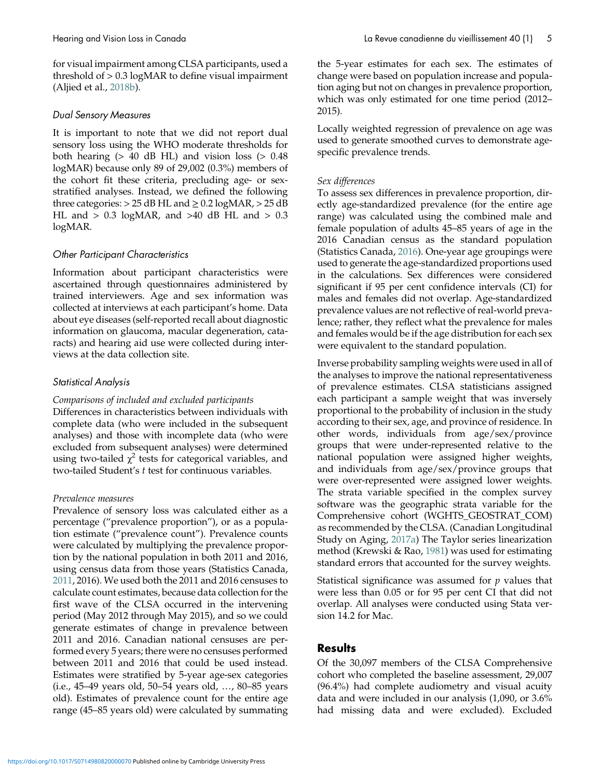for visual impairment among CLSA participants, used a threshold of > 0.3 logMAR to define visual impairment (Aljied et al., [2018b](#page-17-0)).

## Dual Sensory Measures

It is important to note that we did not report dual sensory loss using the WHO moderate thresholds for both hearing  $(> 40$  dB HL) and vision loss  $(> 0.48)$ logMAR) because only 89 of 29,002 (0.3%) members of the cohort fit these criteria, precluding age- or sexstratified analyses. Instead, we defined the following three categories:  $> 25$  dB HL and  $\geq 0.2$  logMAR,  $> 25$  dB HL and  $> 0.3$  logMAR, and  $>40$  dB HL and  $> 0.3$ logMAR.

# Other Participant Characteristics

Information about participant characteristics were ascertained through questionnaires administered by trained interviewers. Age and sex information was collected at interviews at each participant's home. Data about eye diseases (self-reported recall about diagnostic information on glaucoma, macular degeneration, cataracts) and hearing aid use were collected during interviews at the data collection site.

# Statistical Analysis

#### Comparisons of included and excluded participants

Differences in characteristics between individuals with complete data (who were included in the subsequent analyses) and those with incomplete data (who were excluded from subsequent analyses) were determined using two-tailed  $\chi^2$  tests for categorical variables, and two-tailed Student's t test for continuous variables.

#### Prevalence measures

Prevalence of sensory loss was calculated either as a percentage ("prevalence proportion"), or as a population estimate ("prevalence count"). Prevalence counts were calculated by multiplying the prevalence proportion by the national population in both 2011 and 2016, using census data from those years (Statistics Canada, [2011,](#page-19-0) 2016). We used both the 2011 and 2016 censuses to calculate count estimates, because data collection for the first wave of the CLSA occurred in the intervening period (May 2012 through May 2015), and so we could generate estimates of change in prevalence between 2011 and 2016. Canadian national censuses are performed every 5 years; there were no censuses performed between 2011 and 2016 that could be used instead. Estimates were stratified by 5-year age-sex categories (i.e., 45–49 years old, 50–54 years old, …, 80–85 years old). Estimates of prevalence count for the entire age range (45–85 years old) were calculated by summating the 5-year estimates for each sex. The estimates of change were based on population increase and population aging but not on changes in prevalence proportion, which was only estimated for one time period (2012– 2015).

Locally weighted regression of prevalence on age was used to generate smoothed curves to demonstrate agespecific prevalence trends.

## Sex differences

To assess sex differences in prevalence proportion, directly age-standardized prevalence (for the entire age range) was calculated using the combined male and female population of adults 45–85 years of age in the 2016 Canadian census as the standard population (Statistics Canada, [2016\)](#page-20-0). One-year age groupings were used to generate the age-standardized proportions used in the calculations. Sex differences were considered significant if 95 per cent confidence intervals (CI) for males and females did not overlap. Age-standardized prevalence values are not reflective of real-world prevalence; rather, they reflect what the prevalence for males and females would be if the age distribution for each sex were equivalent to the standard population.

Inverse probability sampling weights were used in all of the analyses to improve the national representativeness of prevalence estimates. CLSA statisticians assigned each participant a sample weight that was inversely proportional to the probability of inclusion in the study according to their sex, age, and province of residence. In other words, individuals from age/sex/province groups that were under-represented relative to the national population were assigned higher weights, and individuals from age/sex/province groups that were over-represented were assigned lower weights. The strata variable specified in the complex survey software was the geographic strata variable for the Comprehensive cohort (WGHTS\_GEOSTRAT\_COM) as recommended by the CLSA. (Canadian Longitudinal Study on Aging, [2017a](#page-17-0)) The Taylor series linearization method (Krewski & Rao, [1981\)](#page-18-0) was used for estimating standard errors that accounted for the survey weights.

Statistical significance was assumed for  $p$  values that were less than 0.05 or for 95 per cent CI that did not overlap. All analyses were conducted using Stata version 14.2 for Mac.

# Results

Of the 30,097 members of the CLSA Comprehensive cohort who completed the baseline assessment, 29,007 (96.4%) had complete audiometry and visual acuity data and were included in our analysis (1,090, or 3.6% had missing data and were excluded). Excluded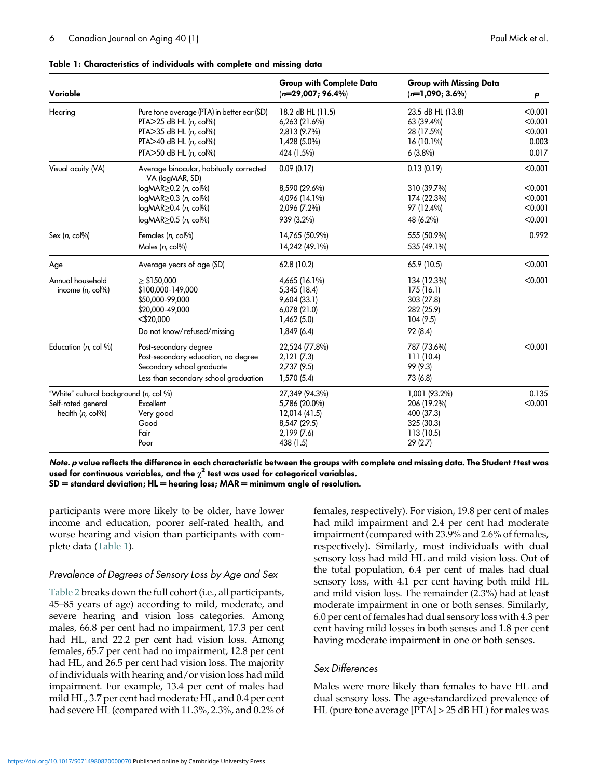| Variable                                                                         |                                                                                                                                                                                                                                                   | <b>Group with Complete Data</b><br>$(n=29,007; 96.4\%)$                                      | Group with Missing Data<br>$(n=1,090; 3.6\%)$                                      | p                                                   |
|----------------------------------------------------------------------------------|---------------------------------------------------------------------------------------------------------------------------------------------------------------------------------------------------------------------------------------------------|----------------------------------------------------------------------------------------------|------------------------------------------------------------------------------------|-----------------------------------------------------|
| Hearing                                                                          | Pure tone average (PTA) in better ear (SD)<br>PTA>25 dB HL (n, col%)<br>PTA>35 dB HL (n, col%)<br>$PTA > 40$ dB HL (n, col%)<br>PTA>50 dB HL (n, col%)                                                                                            | 18.2 dB HL (11.5)<br>6,263 (21.6%)<br>2,813 (9.7%)<br>1,428 (5.0%)<br>424 (1.5%)             | 23.5 dB HL (13.8)<br>63 (39.4%)<br>28 (17.5%)<br>16 (10.1%)<br>$6(3.8\%)$          | < 0.001<br>< 0.001<br>< 0.001<br>0.003<br>0.017     |
| Visual acuity (VA)                                                               | Average binocular, habitually corrected<br>VA (logMAR, SD)<br>logMAR <a> <sub>2</sub> (n, col%)</a><br>$logMR \ge 0.3$ ( <i>n</i> , col%)<br>$logMR \ge 0.4$ ( <i>n</i> , col <sup>(<math>\%</math></sup> )<br>$logMR \ge 0.5$ ( <i>n</i> , col%) | 0.09(0.17)<br>8,590 (29.6%)<br>4,096 (14.1%)<br>2,096 (7.2%)<br>939 (3.2%)                   | 0.13(0.19)<br>310 (39.7%)<br>174 (22.3%)<br>97 (12.4%)<br>48 (6.2%)                | < 0.001<br>< 0.001<br>< 0.001<br>< 0.001<br>< 0.001 |
| Sex $(n, \text{col}\%)$                                                          | Females (n, col%)<br>Males $(n, col\%)$                                                                                                                                                                                                           | 14,765 (50.9%)<br>14,242 (49.1%)                                                             | 555 (50.9%)<br>535 (49.1%)                                                         | 0.992                                               |
| Age                                                                              | Average years of age (SD)                                                                                                                                                                                                                         | 62.8 (10.2)                                                                                  | 65.9 (10.5)                                                                        | < 0.001                                             |
| Annual household<br>income (n, col%)                                             | $\geq$ \$150,000<br>\$100,000-149,000<br>\$50,000-99,000<br>\$20,000-49,000<br>$<$ \$20,000<br>Do not know/refused/missing                                                                                                                        | 4,665 (16.1%)<br>5,345 (18.4)<br>9,604 (33.1)<br>6,078(21.0)<br>1,462(5.0)<br>1,849 (6.4)    | 134 (12.3%)<br>175 (16.1)<br>303 (27.8)<br>282 (25.9)<br>104 (9.5)<br>92 (8.4)     | < 0.001                                             |
| Education (n, col %)                                                             | Post-secondary degree<br>Post-secondary education, no degree<br>Secondary school graduate<br>Less than secondary school graduation                                                                                                                | 22,524 (77.8%)<br>2,121(7.3)<br>2,737(9.5)<br>1,570 (5.4)                                    | 787 (73.6%)<br>111 (10.4)<br>99 (9.3)<br>73 (6.8)                                  | < 0.001                                             |
| "White" cultural background (n, col %)<br>Self-rated general<br>health (n, col%) | Excellent<br>Very good<br>Good<br>Fair<br>Poor                                                                                                                                                                                                    | 27,349 (94.3%)<br>5,786 (20.0%)<br>12,014 (41.5)<br>8,547 (29.5)<br>2,199 (7.6)<br>438 (1.5) | 1,001 (93.2%)<br>206 (19.2%)<br>400 (37.3)<br>325 (30.3)<br>113 (10.5)<br>29 (2.7) | 0.135<br>< 0.001                                    |

#### <span id="page-5-0"></span>Table 1: Characteristics of individuals with complete and missing data

Note. <sup>p</sup> value reflects the difference in each characteristic between the groups with complete and missing data. The Student <sup>t</sup> test was used for continuous variables, and the  $\chi^2$  test was used for categorical variables.  $SD =$  standard deviation;  $HL =$  hearing loss;  $MAR =$  minimum angle of resolution.

participants were more likely to be older, have lower income and education, poorer self-rated health, and worse hearing and vision than participants with complete data (Table 1).

#### Prevalence of Degrees of Sensory Loss by Age and Sex

[Table 2](#page-6-0) breaks down the full cohort (i.e., all participants, 45–85 years of age) according to mild, moderate, and severe hearing and vision loss categories. Among males, 66.8 per cent had no impairment, 17.3 per cent had HL, and 22.2 per cent had vision loss. Among females, 65.7 per cent had no impairment, 12.8 per cent had HL, and 26.5 per cent had vision loss. The majority of individuals with hearing and/or vision loss had mild impairment. For example, 13.4 per cent of males had mild HL, 3.7 per cent had moderate HL, and 0.4 per cent had severe HL (compared with 11.3%, 2.3%, and 0.2% of females, respectively). For vision, 19.8 per cent of males had mild impairment and 2.4 per cent had moderate impairment (compared with 23.9% and 2.6% of females, respectively). Similarly, most individuals with dual sensory loss had mild HL and mild vision loss. Out of the total population, 6.4 per cent of males had dual sensory loss, with 4.1 per cent having both mild HL and mild vision loss. The remainder (2.3%) had at least moderate impairment in one or both senses. Similarly, 6.0 per cent of females had dual sensory loss with 4.3 per cent having mild losses in both senses and 1.8 per cent having moderate impairment in one or both senses.

#### Sex Differences

Males were more likely than females to have HL and dual sensory loss. The age-standardized prevalence of HL (pure tone average [PTA] > 25 dB HL) for males was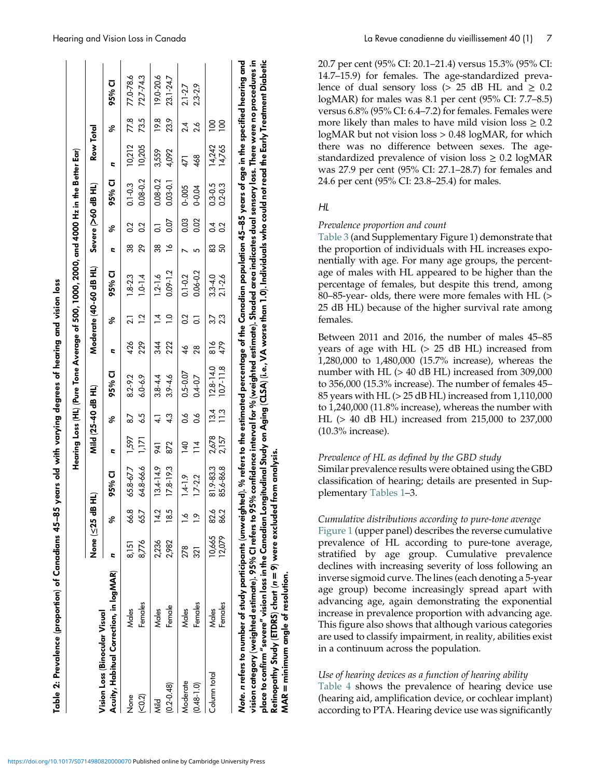|                                                                                                                                                                                                                                                                                                                                                              |                  |                                 |                            |                                  |                       | Hearing Loss (HL) (Pure Tone Average of 500, 1000, 2000, and 4000 Hz in the Better Ear) |                      |                                  |                             |                     |                                  |                             |                  |                                 |                            |
|--------------------------------------------------------------------------------------------------------------------------------------------------------------------------------------------------------------------------------------------------------------------------------------------------------------------------------------------------------------|------------------|---------------------------------|----------------------------|----------------------------------|-----------------------|-----------------------------------------------------------------------------------------|----------------------|----------------------------------|-----------------------------|---------------------|----------------------------------|-----------------------------|------------------|---------------------------------|----------------------------|
| Vision Loss (Binocular Visual                                                                                                                                                                                                                                                                                                                                | None (≤25 dB H   |                                 |                            |                                  | Mild (25-40 dB HL)    |                                                                                         |                      |                                  | Moderate (40-60 dB HL)      |                     |                                  | Severe (>60 dB HL)          | Row Total        |                                 |                            |
| Acuity, Habitual Correction, in logMAR)                                                                                                                                                                                                                                                                                                                      | c                | S,                              | 95% CI                     | E                                | \$                    | 95% CI                                                                                  | E                    | \$                               | 95% CI                      | c                   | \$                               | 95% CI                      | E                | S,                              | 95% CI                     |
| Females<br>Males<br>None<br>(50.2)                                                                                                                                                                                                                                                                                                                           | 8,776<br>8,151   | 66.8<br>65.7                    | 65.8-67.7<br>64.8-66.6     | 1,597<br>דקן<br>ר                | 6.5<br>$\overline{8}$ | 8.2-9.2<br>$6.0 - 6.9$                                                                  | 426<br>229           | $\ddot{5}$<br>្ល                 | $1.8 - 2.3$<br>$1.0 - 1.4$  | 88<br>8g            | $\overline{0}$<br>$\overline{0}$ | $0.08 - 0.2$<br>$0.1 - 0.3$ | 10,205<br>10,212 | 77.8<br>73.5                    | 77.0-78.6<br>72.7-74.3     |
| Female<br>Males<br>$0.2 - 0.48$<br><b>Nild</b>                                                                                                                                                                                                                                                                                                               | 2,982<br>2,236   | $\frac{2}{4}$<br>$\frac{85}{6}$ | $13.4 - 14.9$<br>17.8-19.3 | 872<br>176                       | 43                    | $3.9 - 4.6$<br>$3.8 - 4.4$                                                              | 34<br>22             | $\overline{a}$<br>$\overline{A}$ | $0.09 - 1.2$<br>$1.2 - 1.6$ | $\frac{8}{1}$<br>38 | 0.07<br>5                        | $0.03 - 0.1$<br>0.08-0.2    | 3.559<br>4,092   | 19.8<br>23.9                    | 19.0-20.6<br>23.1-24.7     |
| Females<br>Males<br>Moderate<br>$(0.48 - 1.0)$                                                                                                                                                                                                                                                                                                               | 278<br>321       |                                 | $1.4 - 1.9$<br>$1.7 - 2.2$ | $\frac{140}{1}$<br>$\frac{4}{1}$ | o.o<br>8.o            | $0.5 - 0.07$<br>$0.4 - 0.7$                                                             | 28<br>$\frac{4}{6}$  | S<br>ြ                           | $0.06 - 0.2$<br>$0.1 - 0.2$ |                     | 0.03<br>0.02                     | $0 - 005$<br>$0 - 0.04$     | 468<br>471       | 24<br>26                        | $2.3 - 2.9$<br>$2.1 - 2.7$ |
| Females<br>Males<br>Column total                                                                                                                                                                                                                                                                                                                             | 10,665<br>12,079 | 82.6<br>86.2                    | 81.9-83.3<br>85.6-86.8     | 2,678<br>2,157                   | 13.4<br>11.3          | $12.8 - 14.0$<br>$10.7 - 11.8$                                                          | 479<br>$\frac{8}{8}$ | 23                               | $2.1 - 2.6$<br>$3.3 - 4.0$  | 83<br>50            | $\overline{0}$<br>$\sim$         | $0.3 - 0.5$<br>$0.2 - 0.3$  | 14,242<br>14,765 | $\overline{5}$<br>$\frac{8}{1}$ |                            |
| Note. n refers to number of study participants (unweighted). % refers to the estimated percentage of the Canadian population 45–85 years of age in the specified hearing and<br>vision category (weighted estimate). 95% O refers to 95% confidence interval for % (weighted estimate). Shaded area indicates dual sensory loss. There were no procedures in |                  |                                 |                            |                                  |                       |                                                                                         |                      |                                  |                             |                     |                                  |                             |                  |                                 |                            |

<span id="page-6-0"></span>Hearing and Vision Loss in Canada La Revue canadienne du vieillissement 40 (1) 7

20.7 per cent (95% CI: 20.1–21.4) versus 15.3% (95% CI: 14.7–15.9) for females. The age-standardized prevalence of dual sensory loss ( $> 25$  dB HL and  $\geq 0.2$ logMAR) for males was 8.1 per cent (95% CI: 7.7–8.5) versus 6.8% (95% CI: 6.4–7.2) for females. Females were more likely than males to have mild vision loss  $\geq 0.2$ logMAR but not vision loss > 0.48 logMAR, for which there was no difference between sexes. The agestandardized prevalence of vision  $loss \geq 0.2$  logMAR was 27.9 per cent (95% CI: 27.1–28.7) for females and 24.6 per cent (95% CI: 23.8–25.4) for males.

#### HL

place to confirm "severe" vision loss in the Canadian Longitudinal Study on Aging (CLSA) (i.e., VA worse than 1.0). Individuals who could not read the Early Treatment Diabetic

place to confirm "severe" vision loss in the Canadian Longitudinal Study on Aging (CLSA) (i.e., VA worse than 1.0). Individuals who could not read the Early Treatment Diabetic

Retinopathy Study (ETDRS) chart (

MAR = minimum angle of resolution.

MAR = minimum angle of resolution

Retinopathy Study (ETDRS) chart ( $n=9$ ) were excluded from analysis.

 $n = 9$ ) were excluded from analysis.

#### Prevalence proportion and count

[Table 3](#page-7-0) (and Supplementary Figure 1) demonstrate that the proportion of individuals with HL increases exponentially with age. For many age groups, the percentage of males with HL appeared to be higher than the percentage of females, but despite this trend, among 80–85-year- olds, there were more females with HL (> 25 dB HL) because of the higher survival rate among females.

Between 2011 and 2016, the number of males 45–85 years of age with HL (> 25 dB HL) increased from 1,280,000 to 1,480,000 (15.7% increase), whereas the number with HL (> 40 dB HL) increased from 309,000 to 356,000 (15.3% increase). The number of females 45– 85 years with HL (> 25 dB HL) increased from 1,110,000 to 1,240,000 (11.8% increase), whereas the number with HL (> 40 dB HL) increased from 215,000 to 237,000 (10.3% increase).

#### Prevalence of HL as defined by the GBD study

Similar prevalence results were obtained using the GBD classification of hearing; details are presented in Supplementary [Tables 1](#page-5-0)–3.

#### Cumulative distributions according to pure-tone average

[Figure 1](#page-10-0) (upper panel) describes the reverse cumulative prevalence of HL according to pure-tone average, stratified by age group. Cumulative prevalence declines with increasing severity of loss following an inverse sigmoid curve. The lines (each denoting a 5-year age group) become increasingly spread apart with advancing age, again demonstrating the exponential increase in prevalence proportion with advancing age. This figure also shows that although various categories are used to classify impairment, in reality, abilities exist in a continuum across the population.

#### Use of hearing devices as a function of hearing ability

[Table 4](#page-7-0) shows the prevalence of hearing device use (hearing aid, amplification device, or cochlear implant) according to PTA. Hearing device use was significantly

Table 2: Prevalence (proportion) of Canadians 45

–85 years old with varying degrees of hearing and vision loss

Table 2: Prevalence (proportion) of Canadians 45–85 years old with varying degrees of hearing and vision loss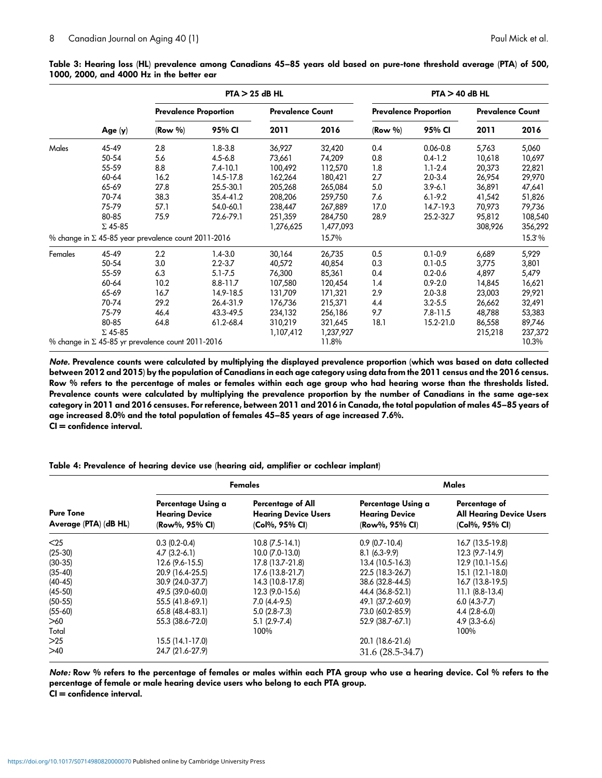|         |                |                                                            | $PTA > 25$ dB HL |                         |           |                              | $PTA > 40$ dB HL |                         |         |
|---------|----------------|------------------------------------------------------------|------------------|-------------------------|-----------|------------------------------|------------------|-------------------------|---------|
|         |                | <b>Prevalence Proportion</b>                               |                  | <b>Prevalence Count</b> |           | <b>Prevalence Proportion</b> |                  | <b>Prevalence Count</b> |         |
|         | Age $(y)$      | $(Row \%)$                                                 | 95% CI           | 2011                    | 2016      | $(Row \%)$                   | 95% CI           | 2011                    | 2016    |
| Males   | 45-49          | 2.8                                                        | $1.8 - 3.8$      | 36,927                  | 32,420    | 0.4                          | $0.06 - 0.8$     | 5,763                   | 5,060   |
|         | 50-54          | 5.6                                                        | $4.5 - 6.8$      | 73,661                  | 74,209    | 0.8                          | $0.4 - 1.2$      | 10,618                  | 10,697  |
|         | 55-59          | 8.8                                                        | $7.4 - 10.1$     | 100,492                 | 112,570   | 1.8                          | $1.1 - 2.4$      | 20,373                  | 22,821  |
|         | 60-64          | 16.2                                                       | 14.5-17.8        | 162,264                 | 180,421   | 2.7                          | $2.0 - 3.4$      | 26,954                  | 29,970  |
|         | 65-69          | 27.8                                                       | 25.5-30.1        | 205,268                 | 265,084   | 5.0                          | $3.9 - 6.1$      | 36,891                  | 47,641  |
|         | 70-74          | 38.3                                                       | 35.4-41.2        | 208,206                 | 259,750   | 7.6                          | $6.1 - 9.2$      | 41,542                  | 51,826  |
|         | 75-79          | 57.1                                                       | 54.0-60.1        | 238,447                 | 267,889   | 17.0                         | 14.7-19.3        | 70,973                  | 79,736  |
|         | 80-85          | 75.9                                                       | 72.6-79.1        | 251,359                 | 284,750   | 28.9                         | 25.2-32.7        | 95,812                  | 108,540 |
|         | $\Sigma$ 45-85 |                                                            |                  | 1,276,625               | 1,477,093 |                              |                  | 308,926                 | 356,292 |
|         |                | % change in $\Sigma$ 45-85 year prevalence count 2011-2016 |                  |                         | 15.7%     |                              |                  |                         | 15.3%   |
| Females | 45-49          | 2.2                                                        | $1.4 - 3.0$      | 30,164                  | 26,735    | 0.5                          | $0.1 - 0.9$      | 6,689                   | 5,929   |
|         | 50-54          | 3.0                                                        | $2.2 - 3.7$      | 40,572                  | 40,854    | 0.3                          | $0.1 - 0.5$      | 3,775                   | 3,801   |
|         | 55-59          | 6.3                                                        | $5.1 - 7.5$      | 76,300                  | 85,361    | 0.4                          | $0.2 - 0.6$      | 4,897                   | 5,479   |
|         | 60-64          | 10.2                                                       | $8.8 - 11.7$     | 107,580                 | 120,454   | 1.4                          | $0.9 - 2.0$      | 14,845                  | 16,621  |
|         | 65-69          | 16.7                                                       | 14.9-18.5        | 131,709                 | 171,321   | 2.9                          | $2.0 - 3.8$      | 23,003                  | 29,921  |
|         | 70-74          | 29.2                                                       | 26.4-31.9        | 176,736                 | 215,371   | 4.4                          | $3.2 - 5.5$      | 26,662                  | 32,491  |
|         | 75-79          | 46.4                                                       | 43.3-49.5        | 234,132                 | 256,186   | 9.7                          | $7.8 - 11.5$     | 48,788                  | 53,383  |
|         | 80-85          | 64.8                                                       | 61.2-68.4        | 310,219                 | 321,645   | 18.1                         | 15.2-21.0        | 86,558                  | 89,746  |
|         | $\Sigma$ 45-85 |                                                            |                  | 1,107,412               | 1,237,927 |                              |                  | 215,218                 | 237,372 |
|         |                | % change in $\Sigma$ 45-85 yr prevalence count 2011-2016   |                  |                         | 11.8%     |                              |                  |                         | 10.3%   |

<span id="page-7-0"></span>Table 3: Hearing loss (HL) prevalence among Canadians 45–85 years old based on pure-tone threshold average (PTA) of 500, 1000, 2000, and 4000 Hz in the better ear

Note. Prevalence counts were calculated by multiplying the displayed prevalence proportion (which was based on data collected between 2012 and 2015) by the population of Canadians in each age category using data from the 2011 census and the 2016 census. Row % refers to the percentage of males or females within each age group who had hearing worse than the thresholds listed. Prevalence counts were calculated by multiplying the prevalence proportion by the number of Canadians in the same age-sex category in 2011 and 2016 censuses. For reference, between 2011 and 2016 in Canada, the total population of males 45–85 years of age increased 8.0% and the total population of females 45–85 years of age increased 7.6%. CI = confidence interval.

Table 4: Prevalence of hearing device use (hearing aid, amplifier or cochlear implant)

|                                           |                                                               | Females                                                            |                                                               | Males                                                              |
|-------------------------------------------|---------------------------------------------------------------|--------------------------------------------------------------------|---------------------------------------------------------------|--------------------------------------------------------------------|
| <b>Pure Tone</b><br>Average (PTA) (dB HL) | Percentage Using a<br><b>Hearing Device</b><br>(Row%, 95% CI) | Percentage of All<br><b>Hearing Device Users</b><br>(Col%, 95% CI) | Percentage Using a<br><b>Hearing Device</b><br>(Row%, 95% CI) | Percentage of<br><b>All Hearing Device Users</b><br>(Col%, 95% CI) |
| $25$                                      | $0.3(0.2-0.4)$                                                | $10.8(7.5-14.1)$                                                   | $0.9(0.7-10.4)$                                               | 16.7 (13.5-19.8)                                                   |
| $(25-30)$                                 | $4.7(3.2-6.1)$                                                | $10.0 (7.0 - 13.0)$                                                | $8.1(6.3-9.9)$                                                | 12.3 (9.7-14.9)                                                    |
| $(30-35)$                                 | $12.6(9.6-15.5)$                                              | 17.8 (13.7-21.8)                                                   | 13.4 (10.5-16.3)                                              | 12.9 (10.1-15.6)                                                   |
| $(35 - 40)$                               | 20.9 (16.4-25.5)                                              | 17.6 (13.8-21.7)                                                   | 22.5 (18.3-26.7)                                              | 15.1 (12.1-18.0)                                                   |
| $(40-45)$                                 | 30.9 (24.0-37.7)                                              | 14.3 (10.8-17.8)                                                   | 38.6 (32.8-44.5)                                              | 16.7 (13.8-19.5)                                                   |
| $(45-50)$                                 | 49.5 (39.0-60.0)                                              | $12.3(9.0-15.6)$                                                   | 44.4 (36.8-52.1)                                              | $11.1 (8.8-13.4)$                                                  |
| $(50-55)$                                 | 55.5 (41.8-69.1)                                              | $7.0(4.4-9.5)$                                                     | 49.1 (37.2-60.9)                                              | $6.0(4.3-7.7)$                                                     |
| $(55-60)$                                 | 65.8 (48.4-83.1)                                              | $5.0(2.8-7.3)$                                                     | 73.0 (60.2-85.9)                                              | $4.4(2.8-6.0)$                                                     |
| >60                                       | 55.3 (38.6-72.0)                                              | $5.1(2.9 - 7.4)$                                                   | 52.9 (38.7-67.1)                                              | $4.9(3.3-6.6)$                                                     |
| Total                                     |                                                               | 100%                                                               |                                                               | 100%                                                               |
| >25                                       | $15.5(14.1-17.0)$                                             |                                                                    | 20.1 (18.6-21.6)                                              |                                                                    |
| >40                                       | 24.7 (21.6-27.9)                                              |                                                                    | 31.6 (28.5-34.7)                                              |                                                                    |

Note: Row % refers to the percentage of females or males within each PTA group who use a hearing device. Col % refers to the percentage of female or male hearing device users who belong to each PTA group.

 $CI =$  confidence interval.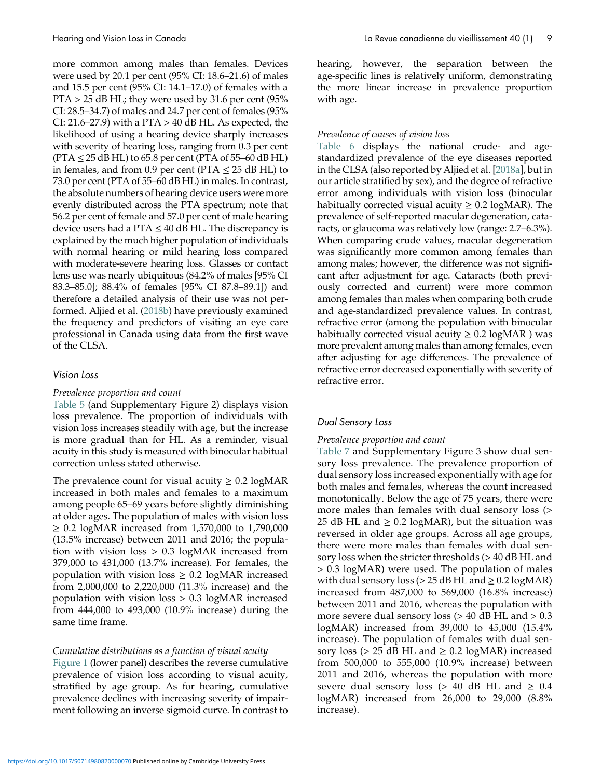more common among males than females. Devices were used by 20.1 per cent (95% CI: 18.6–21.6) of males and 15.5 per cent (95% CI: 14.1–17.0) of females with a  $PTA > 25$  dB HL; they were used by 31.6 per cent (95%) CI: 28.5–34.7) of males and 24.7 per cent of females (95% CI: 21.6–27.9) with a PTA  $>$  40 dB HL. As expected, the likelihood of using a hearing device sharply increases with severity of hearing loss, ranging from 0.3 per cent  $(PTA \leq 25 dB HL)$  to 65.8 per cent (PTA of 55–60 dB HL) in females, and from 0.9 per cent ( $\text{PTA} \leq 25 \text{ dB HL}$ ) to 73.0 per cent (PTA of 55–60 dB HL) in males. In contrast, the absolute numbers of hearing device users were more evenly distributed across the PTA spectrum; note that 56.2 per cent of female and 57.0 per cent of male hearing device users had a PTA  $\leq$  40 dB HL. The discrepancy is explained by the much higher population of individuals with normal hearing or mild hearing loss compared with moderate-severe hearing loss. Glasses or contact lens use was nearly ubiquitous (84.2% of males [95% CI 83.3–85.0]; 88.4% of females [95% CI 87.8–89.1]) and therefore a detailed analysis of their use was not performed. Aljied et al. [\(2018b\)](#page-17-0) have previously examined the frequency and predictors of visiting an eye care professional in Canada using data from the first wave of the CLSA.

#### Vision Loss

#### Prevalence proportion and count

[Table 5](#page-9-0) (and Supplementary Figure 2) displays vision loss prevalence. The proportion of individuals with vision loss increases steadily with age, but the increase is more gradual than for HL. As a reminder, visual acuity in this study is measured with binocular habitual correction unless stated otherwise.

The prevalence count for visual acuity  $\geq 0.2$  logMAR increased in both males and females to a maximum among people 65–69 years before slightly diminishing at older ages. The population of males with vision loss ≥ 0.2 logMAR increased from 1,570,000 to 1,790,000 (13.5% increase) between 2011 and 2016; the population with vision loss > 0.3 logMAR increased from 379,000 to 431,000 (13.7% increase). For females, the population with vision loss  $\geq$  0.2 logMAR increased from 2,000,000 to 2,220,000 (11.3% increase) and the population with vision loss > 0.3 logMAR increased from 444,000 to 493,000 (10.9% increase) during the same time frame.

## Cumulative distributions as a function of visual acuity

[Figure 1](#page-10-0) (lower panel) describes the reverse cumulative prevalence of vision loss according to visual acuity, stratified by age group. As for hearing, cumulative prevalence declines with increasing severity of impairment following an inverse sigmoid curve. In contrast to hearing, however, the separation between the age-specific lines is relatively uniform, demonstrating the more linear increase in prevalence proportion with age.

#### Prevalence of causes of vision loss

[Table 6](#page-11-0) displays the national crude- and agestandardized prevalence of the eye diseases reported in the CLSA (also reported by Aljied et al. [\[2018a](#page-17-0)], but in our article stratified by sex), and the degree of refractive error among individuals with vision loss (binocular habitually corrected visual acuity  $\geq 0.2$  logMAR). The prevalence of self-reported macular degeneration, cataracts, or glaucoma was relatively low (range: 2.7–6.3%). When comparing crude values, macular degeneration was significantly more common among females than among males; however, the difference was not significant after adjustment for age. Cataracts (both previously corrected and current) were more common among females than males when comparing both crude and age-standardized prevalence values. In contrast, refractive error (among the population with binocular habitually corrected visual acuity  $\geq 0.2$  logMAR ) was more prevalent among males than among females, even after adjusting for age differences. The prevalence of refractive error decreased exponentially with severity of refractive error.

#### Dual Sensory Loss

#### Prevalence proportion and count

[Table 7](#page-12-0) and Supplementary Figure 3 show dual sensory loss prevalence. The prevalence proportion of dual sensory loss increased exponentially with age for both males and females, whereas the count increased monotonically. Below the age of 75 years, there were more males than females with dual sensory loss (> 25 dB HL and  $\geq$  0.2 logMAR), but the situation was reversed in older age groups. Across all age groups, there were more males than females with dual sensory loss when the stricter thresholds (> 40 dB HL and > 0.3 logMAR) were used. The population of males with dual sensory loss ( $> 25$  dB HL and  $\geq 0.2$  logMAR) increased from 487,000 to 569,000 (16.8% increase) between 2011 and 2016, whereas the population with more severe dual sensory loss  $(> 40$  dB HL and  $> 0.3$ logMAR) increased from 39,000 to 45,000 (15.4% increase). The population of females with dual sensory loss ( $> 25$  dB HL and  $\geq 0.2$  logMAR) increased from 500,000 to 555,000 (10.9% increase) between 2011 and 2016, whereas the population with more severe dual sensory loss ( $> 40$  dB HL and  $\geq 0.4$ logMAR) increased from 26,000 to 29,000 (8.8% increase).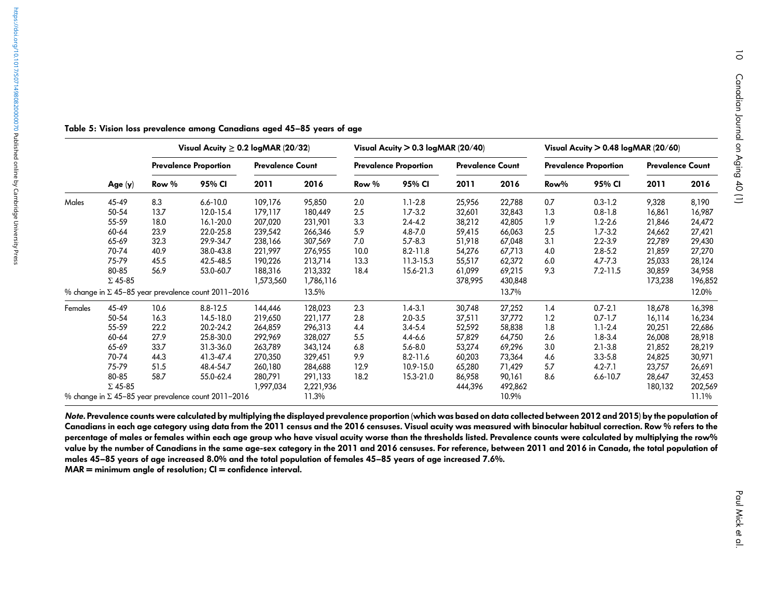|         |                |       | Visual Acuity $\geq 0.2$ logMAR (20/32)                    |                         |           |       | Visual Acuity $> 0.3$ logMAR (20/40) |                         |         |      | Visual Acuity $> 0.48$ logMAR (20/60) |                         |         |
|---------|----------------|-------|------------------------------------------------------------|-------------------------|-----------|-------|--------------------------------------|-------------------------|---------|------|---------------------------------------|-------------------------|---------|
|         |                |       | <b>Prevalence Proportion</b>                               | <b>Prevalence Count</b> |           |       | <b>Prevalence Proportion</b>         | <b>Prevalence Count</b> |         |      | <b>Prevalence Proportion</b>          | <b>Prevalence Count</b> |         |
|         | Age $(y)$      | Row % | 95% CI                                                     | 2011                    | 2016      | Row % | 95% CI                               | 2011                    | 2016    | Row% | 95% CI                                | 2011                    | 2016    |
| Males   | 45-49          | 8.3   | $6.6 - 10.0$                                               | 109,176                 | 95,850    | 2.0   | $1.1 - 2.8$                          | 25,956                  | 22,788  | 0.7  | $0.3 - 1.2$                           | 9,328                   | 8,190   |
|         | 50-54          | 13.7  | 12.0-15.4                                                  | 179,117                 | 180,449   | 2.5   | $1.7 - 3.2$                          | 32,601                  | 32,843  | 1.3  | $0.8 - 1.8$                           | 16,861                  | 16,987  |
|         | 55-59          | 18.0  | 16.1-20.0                                                  | 207,020                 | 231,901   | 3.3   | $2.4 - 4.2$                          | 38,212                  | 42,805  | 1.9  | $1.2 - 2.6$                           | 21,846                  | 24,472  |
|         | 60-64          | 23.9  | 22.0-25.8                                                  | 239,542                 | 266,346   | 5.9   | $4.8 - 7.0$                          | 59,415                  | 66,063  | 2.5  | $1.7 - 3.2$                           | 24,662                  | 27,421  |
|         | 65-69          | 32.3  | 29.9-34.7                                                  | 238,166                 | 307,569   | 7.0   | $5.7 - 8.3$                          | 51,918                  | 67,048  | 3.1  | $2.2 - 3.9$                           | 22,789                  | 29,430  |
|         | 70-74          | 40.9  | 38.0-43.8                                                  | 221,997                 | 276,955   | 10.0  | $8.2 - 11.8$                         | 54,276                  | 67,713  | 4.0  | $2.8 - 5.2$                           | 21,859                  | 27,270  |
|         | 75-79          | 45.5  | 42.5-48.5                                                  | 190,226                 | 213,714   | 13.3  | 11.3-15.3                            | 55,517                  | 62,372  | 6.0  | $4.7 - 7.3$                           | 25,033                  | 28,124  |
|         | 80-85          | 56.9  | 53.0-60.7                                                  | 188,316                 | 213,332   | 18.4  | 15.6-21.3                            | 61,099                  | 69,215  | 9.3  | $7.2 - 11.5$                          | 30,859                  | 34,958  |
|         | $\Sigma$ 45-85 |       |                                                            | 1,573,560               | 1,786,116 |       |                                      | 378,995                 | 430,848 |      |                                       | 173,238                 | 196,852 |
|         |                |       | % change in $\Sigma$ 45-85 year prevalence count 2011-2016 |                         | 13.5%     |       |                                      |                         | 13.7%   |      |                                       |                         | 12.0%   |
| Females | 45-49          | 10.6  | $8.8 - 12.5$                                               | 144,446                 | 128,023   | 2.3   | $1.4 - 3.1$                          | 30,748                  | 27,252  | 1.4  | $0.7 - 2.1$                           | 18,678                  | 16,398  |
|         | 50-54          | 16.3  | 14.5-18.0                                                  | 219,650                 | 221,177   | 2.8   | $2.0 - 3.5$                          | 37,511                  | 37,772  | 1.2  | $0.7 - 1.7$                           | 16,114                  | 16,234  |
|         | 55-59          | 22.2  | 20.2-24.2                                                  | 264,859                 | 296,313   | 4.4   | $3.4 - 5.4$                          | 52,592                  | 58,838  | 1.8  | $1.1 - 2.4$                           | 20,251                  | 22,686  |
|         | 60-64          | 27.9  | 25.8-30.0                                                  | 292,969                 | 328,027   | 5.5   | $4.4 - 6.6$                          | 57,829                  | 64,750  | 2.6  | $1.8 - 3.4$                           | 26,008                  | 28,918  |
|         | 65-69          | 33.7  | 31.3-36.0                                                  | 263,789                 | 343,124   | 6.8   | $5.6 - 8.0$                          | 53,274                  | 69,296  | 3.0  | $2.1 - 3.8$                           | 21,852                  | 28,219  |
|         | 70-74          | 44.3  | 41.3-47.4                                                  | 270,350                 | 329,451   | 9.9   | $8.2 - 11.6$                         | 60,203                  | 73,364  | 4.6  | $3.3 - 5.8$                           | 24,825                  | 30,971  |
|         | 75-79          | 51.5  | 48.4-54.7                                                  | 260,180                 | 284,688   | 12.9  | 10.9-15.0                            | 65,280                  | 71,429  | 5.7  | $4.2 - 7.1$                           | 23,757                  | 26,691  |
|         | 80-85          | 58.7  | 55.0-62.4                                                  | 280,791                 | 291,133   | 18.2  | 15.3-21.0                            | 86,958                  | 90,161  | 8.6  | $6.6 - 10.7$                          | 28,647                  | 32,453  |
|         | $\Sigma$ 45-85 |       |                                                            | 1,997,034               | 2,221,936 |       |                                      | 444,396                 | 492,862 |      |                                       | 180,132                 | 202,569 |
|         |                |       | % change in $\Sigma$ 45-85 year prevalence count 2011-2016 |                         | 11.3%     |       |                                      |                         | 10.9%   |      |                                       |                         | 11.1%   |

<span id="page-9-0"></span>Table 5: Vision loss prevalence among Canadians aged 45 –85 years of age

Note. Prevalence counts were calculated by multiplying the displayed prevalence proportion (which was based on data collected between 2012 and 2015) by the population of Canadians in each age category using data from the 2011 census and the 2016 censuses. Visual acuity was measured with binocular habitual correction. Row % refers to the percentage of males or females within each age group who have visual acuity worse than the thresholds listed. Prevalence counts were calculated by multiplying the row% value by the number of Canadians in the same age-sex category in the 2011 and 2016 censuses. For reference, between 2011 and 2016 in Canada, the total population of males 45 –85 years of age increased 8.0% and the total population of females 45 –85 years of age increased 7.6%.

 $MAR =$  minimum angle of resolution;  $CI =$  confidence interval.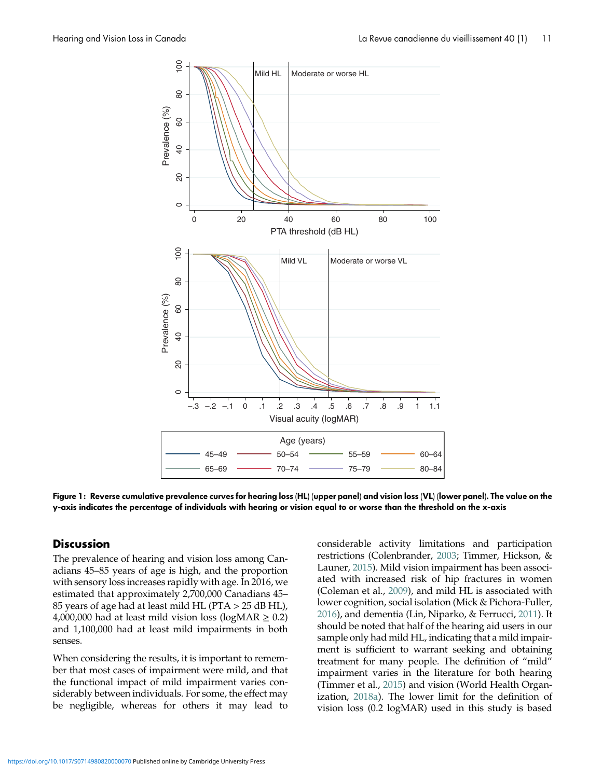<span id="page-10-0"></span>

Figure 1: Reverse cumulative prevalence curves for hearing loss (HL) (upper panel) and vision loss (VL) (lower panel). The value on the y-axis indicates the percentage of individuals with hearing or vision equal to or worse than the threshold on the x-axis

#### **Discussion**

The prevalence of hearing and vision loss among Canadians 45–85 years of age is high, and the proportion with sensory loss increases rapidly with age. In 2016, we estimated that approximately 2,700,000 Canadians 45– 85 years of age had at least mild HL (PTA > 25 dB HL), 4,000,000 had at least mild vision loss (logMAR  $\geq$  0.2) and 1,100,000 had at least mild impairments in both senses.

When considering the results, it is important to remember that most cases of impairment were mild, and that the functional impact of mild impairment varies considerably between individuals. For some, the effect may be negligible, whereas for others it may lead to considerable activity limitations and participation restrictions (Colenbrander, [2003](#page-17-0); Timmer, Hickson, & Launer, [2015\)](#page-20-0). Mild vision impairment has been associated with increased risk of hip fractures in women (Coleman et al., [2009\)](#page-17-0), and mild HL is associated with lower cognition, social isolation (Mick & Pichora-Fuller, [2016\)](#page-19-0), and dementia (Lin, Niparko, & Ferrucci, [2011](#page-18-0)). It should be noted that half of the hearing aid users in our sample only had mild HL, indicating that a mild impairment is sufficient to warrant seeking and obtaining treatment for many people. The definition of "mild" impairment varies in the literature for both hearing (Timmer et al., [2015\)](#page-20-0) and vision (World Health Organization, [2018a\)](#page-20-0). The lower limit for the definition of vision loss (0.2 logMAR) used in this study is based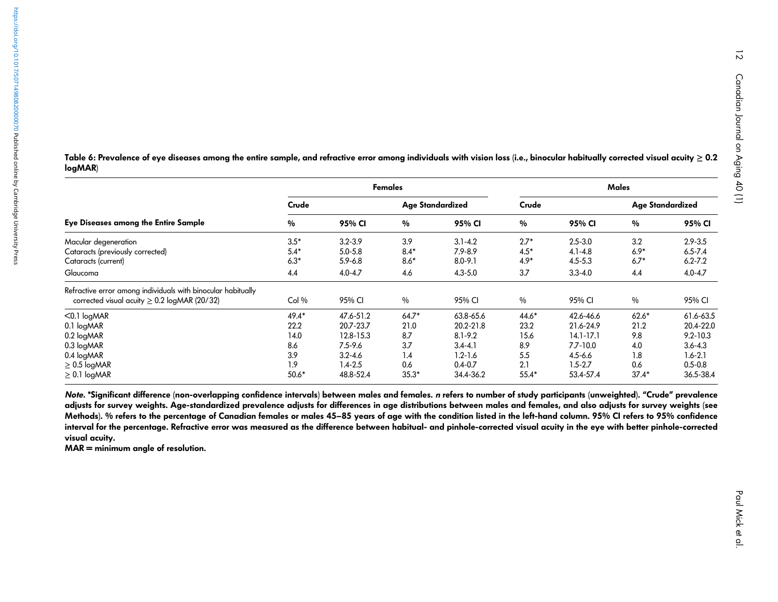logMAR) Females Males

<span id="page-11-0"></span>Table 6: Prevalence of eye diseases among the entire sample, and refractive error among individuals with vision loss (i.e., binocular habitually corrected visual acuity  $\geq$  0.2

|                                                                                                                   | Crude   |             | Age Standardized |             | Crude         |               | Age Standardized |              |
|-------------------------------------------------------------------------------------------------------------------|---------|-------------|------------------|-------------|---------------|---------------|------------------|--------------|
| <b>Eye Diseases among the Entire Sample</b>                                                                       | %       | 95% CI      | $\%$             | 95% CI      | $\%$          | 95% CI        | $\%$             | 95% CI       |
| Macular degeneration                                                                                              | $3.5*$  | $3.2 - 3.9$ | 3.9              | $3.1 - 4.2$ | $2.7*$        | $2.5 - 3.0$   | 3.2              | $2.9 - 3.5$  |
| Cataracts (previously corrected)                                                                                  | $5.4*$  | $5.0 - 5.8$ | $8.4*$           | $7.9 - 8.9$ | $4.5*$        | $4.1 - 4.8$   | $6.9*$           | $6.5 - 7.4$  |
| Cataracts (current)                                                                                               | $6.3*$  | $5.9 - 6.8$ | $8.6*$           | $8.0 - 9.1$ | $4.9*$        | $4.5 - 5.3$   | $6.7*$           | $6.2 - 7.2$  |
| Glaucoma                                                                                                          | 4.4     | $4.0 - 4.7$ | 4.6              | $4.3 - 5.0$ | 3.7           | $3.3 - 4.0$   | 4.4              | $4.0 - 4.7$  |
| Refractive error among individuals with binocular habitually<br>corrected visual acuity $\geq 0.2$ logMAR (20/32) | Col%    | 95% CI      | $\frac{0}{0}$    | 95% CI      | $\frac{0}{0}$ | 95% CI        | $\%$             | 95% CI       |
| $< 0.1$ logMAR                                                                                                    | $49.4*$ | 47.6-51.2   | $64.7*$          | 63.8-65.6   | $44.6*$       | 42.6-46.6     | $62.6*$          | 61.6-63.5    |
| 0.1 logMAR                                                                                                        | 22.2    | 20.7-23.7   | 21.0             | 20.2-21.8   | 23.2          | 21.6-24.9     | 21.2             | 20.4-22.0    |
| $0.2$ logMAR                                                                                                      | 14.0    | 12.8-15.3   | 8.7              | $8.1 - 9.2$ | 15.6          | $14.1 - 17.1$ | 9.8              | $9.2 - 10.3$ |
| $0.3$ logMAR                                                                                                      | 8.6     | $7.5 - 9.6$ | 3.7              | $3.4 - 4.1$ | 8.9           | $7.7 - 10.0$  | 4.0              | $3.6 - 4.3$  |
| 0.4 logMAR                                                                                                        | 3.9     | $3.2 - 4.6$ | 1.4              | $1.2 - 1.6$ | 5.5           | $4.5 - 6.6$   | 1.8              | $1.6 - 2.1$  |
| $\geq 0.5$ logMAR                                                                                                 | 1.9     | $1.4 - 2.5$ | 0.6              | $0.4 - 0.7$ | 2.1           | $1.5 - 2.7$   | 0.6              | $0.5 - 0.8$  |
| $\geq$ 0.1 logMAR                                                                                                 | $50.6*$ | 48.8-52.4   | $35.3*$          | 34.4-36.2   | $55.4*$       | 53.4-57.4     | $37.4*$          | 36.5-38.4    |

Note. \*Significant difference (non-overlapping confidence intervals) between males and females. *n* refers to number of study participants (unweighted). "Crude" prevalence adjusts for survey weights. Age-standardized prevalence adjusts for differences in age distributions between males and females, and also adjusts for survey weights (see Methods). % refers to the percentage of Canadian females or males 45–85 years of age with the condition listed in the left-hand column. 95% CI refers to 95% confidence interval for the percentage. Refractive error was measured as the difference between habitual- and <sup>p</sup>inhole-corrected visual acuity in the eye with better <sup>p</sup>inhole-corrected visual acuity.

MAR <sup>=</sup> minimum angle of resolution.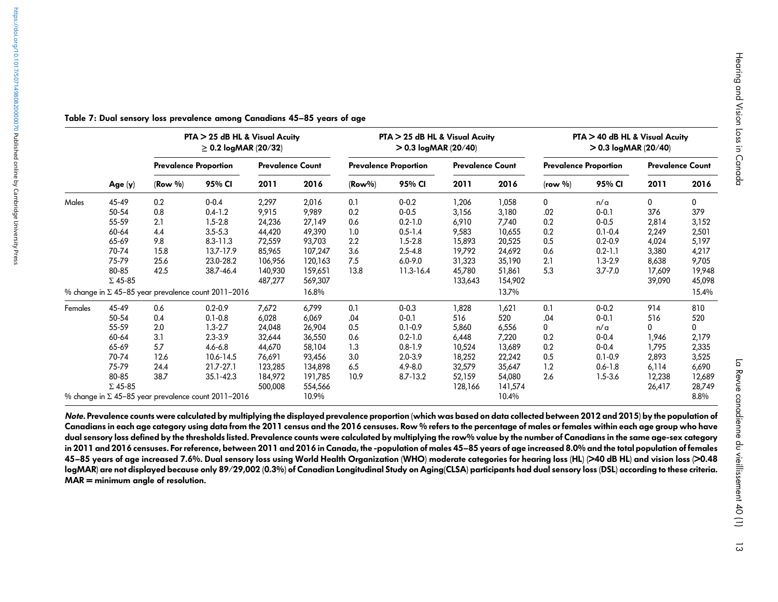|         |                         |            | PTA > 25 dB HL & Visual Acuity<br>$\geq 0.2$ logMAR (20/32) |                         |                    |           | PTA > 25 dB HL & Visual Acuity<br>$> 0.3$ logMAR (20/40) |                         |                   |                              | PTA > 40 dB HL & Visual Acuity<br>$> 0.3$ logMAR (20/40) |                         |                  |
|---------|-------------------------|------------|-------------------------------------------------------------|-------------------------|--------------------|-----------|----------------------------------------------------------|-------------------------|-------------------|------------------------------|----------------------------------------------------------|-------------------------|------------------|
|         |                         |            | <b>Prevalence Proportion</b>                                | <b>Prevalence Count</b> |                    |           | <b>Prevalence Proportion</b>                             | <b>Prevalence Count</b> |                   | <b>Prevalence Proportion</b> |                                                          | <b>Prevalence Count</b> |                  |
|         | Age $(y)$               | $(Row \%)$ | 95% CI                                                      | 2011                    | 2016               | $(Row\%)$ | 95% CI                                                   | 2011                    | 2016              | (row %)                      | 95% CI                                                   | 2011                    | 2016             |
| Males   | 45-49                   | 0.2        | $0 - 0.4$                                                   | 2,297                   | 2,016              | 0.1       | $0 - 0.2$                                                | 1,206                   | 1,058             | $\mathbf 0$                  | n/a                                                      | 0                       | $\mathbf{0}$     |
|         | 50-54                   | 0.8        | $0.4 - 1.2$                                                 | 9,915                   | 9,989              | 0.2       | $0 - 0.5$                                                | 3,156                   | 3,180             | .02                          | $0 - 0.1$                                                | 376                     | 379              |
|         | 55-59                   | 2.1        | $1.5 - 2.8$                                                 | 24,236                  | 27,149             | 0.6       | $0.2 - 1.0$                                              | 6,910                   | 7,740             | 0.2                          | $0 - 0.5$                                                | 2,814                   | 3,152            |
|         | 60-64                   | 4.4        | $3.5 - 5.3$                                                 | 44,420                  | 49,390             | 1.0       | $0.5 - 1.4$                                              | 9,583                   | 10,655            | 0.2                          | $0.1 - 0.4$                                              | 2,249                   | 2,501            |
|         | 65-69                   | 9.8        | $8.3 - 11.3$                                                | 72,559                  | 93,703             | 2.2       | $1.5 - 2.8$                                              | 15,893                  | 20,525            | 0.5                          | $0.2 - 0.9$                                              | 4,024                   | 5,197            |
|         | 70-74                   | 15.8       | 13.7-17.9                                                   | 85,965                  | 107,247            | 3.6       | $2.5 - 4.8$                                              | 19,792                  | 24,692            | 0.6                          | $0.2 - 1.1$                                              | 3,380                   | 4,217            |
|         | 75-79                   | 25.6       | 23.0-28.2                                                   | 106,956                 | 120,163            | 7.5       | $6.0 - 9.0$                                              | 31,323                  | 35,190            | 2.1                          | $1.3 - 2.9$                                              | 8,638                   | 9,705            |
|         | 80-85<br>$\Sigma$ 45-85 | 42.5       | 38.7-46.4                                                   | 140,930<br>487,277      | 159,651<br>569,307 | 13.8      | $11.3 - 16.4$                                            | 45,780<br>133,643       | 51,861<br>154,902 | 5.3                          | $3.7 - 7.0$                                              | 17,609<br>39,090        | 19,948<br>45,098 |
|         |                         |            | % change in $\Sigma$ 45-85 year prevalence count 2011-2016  |                         | 16.8%              |           |                                                          |                         | 13.7%             |                              |                                                          |                         | 15.4%            |
| Females | 45-49                   | 0.6        | $0.2 - 0.9$                                                 | 7,672                   | 6,799              | 0.1       | $0 - 0.3$                                                | 1,828                   | 1,621             | 0.1                          | $0 - 0.2$                                                | 914                     | 810              |
|         | 50-54                   | 0.4        | $0.1 - 0.8$                                                 | 6,028                   | 6,069              | .04       | $0 - 0.1$                                                | 516                     | 520               | .04                          | $0 - 0.1$                                                | 516                     | 520              |
|         | 55-59                   | 2.0        | $1.3 - 2.7$                                                 | 24,048                  | 26,904             | 0.5       | $0.1 - 0.9$                                              | 5,860                   | 6,556             | 0                            | n/a                                                      | 0                       | 0                |
|         | 60-64                   | 3.1        | $2.3 - 3.9$                                                 | 32,644                  | 36,550             | 0.6       | $0.2 - 1.0$                                              | 6,448                   | 7,220             | 0.2                          | $0 - 0.4$                                                | 1,946                   | 2,179            |
|         | 65-69                   | 5.7        | $4.6 - 6.8$                                                 | 44,670                  | 58,104             | 1.3       | $0.8 - 1.9$                                              | 10,524                  | 13,689            | 0.2                          | $0 - 0.4$                                                | 1,795                   | 2,335            |
|         | 70-74                   | 12.6       | 10.6-14.5                                                   | 76,691                  | 93,456             | 3.0       | $2.0 - 3.9$                                              | 18,252                  | 22,242            | 0.5                          | $0.1 - 0.9$                                              | 2,893                   | 3,525            |
|         | 75-79                   | 24.4       | $21.7 - 27.1$                                               | 123,285                 | 134,898            | 6.5       | $4.9 - 8.0$                                              | 32,579                  | 35,647            | 1.2                          | $0.6 - 1.8$                                              | 6,114                   | 6,690            |
|         | 80-85<br>$\Sigma$ 45-85 | 38.7       | 35.1-42.3                                                   | 184,972<br>500,008      | 191,785<br>554,566 | 10.9      | 8.7-13.2                                                 | 52,159<br>128,166       | 54,080<br>141,574 | 2.6                          | $1.5 - 3.6$                                              | 12,238<br>26,417        | 12,689<br>28,749 |

Table 7: Dual sensory loss prevalence among Canadians 45 –85 years of age

<span id="page-12-0"></span><https://doi.org/10.1017/S0714980820000070>Published online by Cambridge University Presshttps://doi.org/10.1017/S0714980820000070 Published online by Cambridge University Press

> Note. Prevalence counts were calculated by multiplying the displayed prevalence proportion (which was based on data collected between 2012 and 2015) by the population of Canadians in each age category using data from the 2011 census and the 2016 censuses. Row % refers to the percentage of males or females within each age group who have dual sensory loss defined by the thresholds listed. Prevalence counts were calculated by multiplying the row% value by the number of Canadians in the same age-sex category in 2011 and 2016 censuses. For reference, between 2011 and 2016 in Canada, the -population of males 45–85 years of age increased 8.0% and the total population of females 45 –85 years of age increased 7.6%. Dual sensory loss using World Health Organization (WHO) moderate categories for hearing loss (HL) (>40 dB HL) and vision loss (>0.48 logMAR) are not displayed because only 89/29,002 (0.3%) of Canadian Longitudinal Study on Aging(CLSA) participants had dual sensory loss (DSL) according to these criteria. MAR <sup>=</sup> minimum angle of resolution.

% change in Σ 45–85 year prevalence count 2011–2016 10.9% 10.4% 8.8%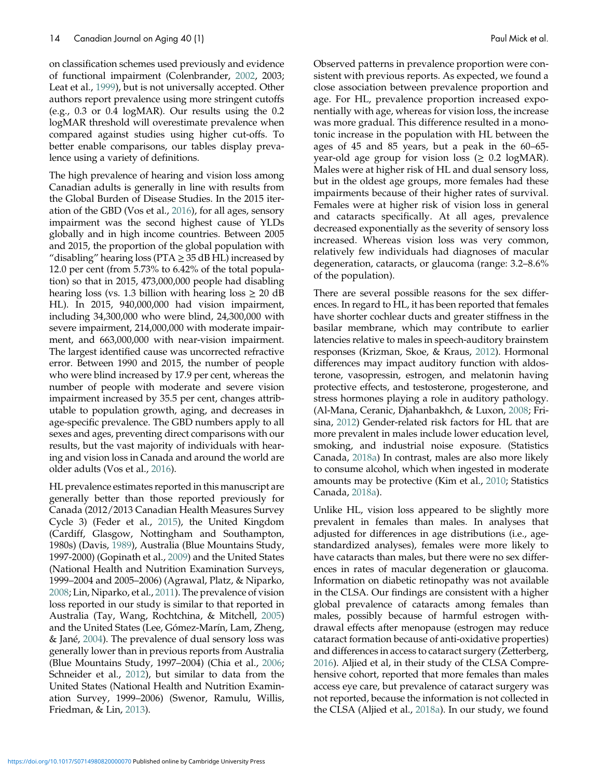on classification schemes used previously and evidence of functional impairment (Colenbrander, [2002](#page-17-0), 2003; Leat et al., [1999](#page-18-0)), but is not universally accepted. Other authors report prevalence using more stringent cutoffs (e.g., 0.3 or 0.4 logMAR). Our results using the 0.2 logMAR threshold will overestimate prevalence when compared against studies using higher cut-offs. To better enable comparisons, our tables display prevalence using a variety of definitions.

The high prevalence of hearing and vision loss among Canadian adults is generally in line with results from the Global Burden of Disease Studies. In the 2015 iteration of the GBD (Vos et al., [2016\)](#page-20-0), for all ages, sensory impairment was the second highest cause of YLDs globally and in high income countries. Between 2005 and 2015, the proportion of the global population with "disabling" hearing loss ( $PTA \geq 35$  dB HL) increased by 12.0 per cent (from 5.73% to 6.42% of the total population) so that in 2015, 473,000,000 people had disabling hearing loss (vs. 1.3 billion with hearing loss  $\geq 20$  dB HL). In 2015, 940,000,000 had vision impairment, including 34,300,000 who were blind, 24,300,000 with severe impairment, 214,000,000 with moderate impairment, and 663,000,000 with near-vision impairment. The largest identified cause was uncorrected refractive error. Between 1990 and 2015, the number of people who were blind increased by 17.9 per cent, whereas the number of people with moderate and severe vision impairment increased by 35.5 per cent, changes attributable to population growth, aging, and decreases in age-specific prevalence. The GBD numbers apply to all sexes and ages, preventing direct comparisons with our results, but the vast majority of individuals with hearing and vision loss in Canada and around the world are older adults (Vos et al., [2016\)](#page-20-0).

HL prevalence estimates reported in this manuscript are generally better than those reported previously for Canada (2012/2013 Canadian Health Measures Survey Cycle 3) (Feder et al., [2015\)](#page-17-0), the United Kingdom (Cardiff, Glasgow, Nottingham and Southampton, 1980s) (Davis, [1989\)](#page-17-0), Australia (Blue Mountains Study, 1997-2000) (Gopinath et al., [2009\)](#page-17-0) and the United States (National Health and Nutrition Examination Surveys, 1999–2004 and 2005–2006) (Agrawal, Platz, & Niparko, [2008](#page-16-0); Lin, Niparko, et al., [2011\)](#page-18-0). The prevalence of vision loss reported in our study is similar to that reported in Australia (Tay, Wang, Rochtchina, & Mitchell, [2005\)](#page-20-0) and the United States (Lee, Gómez-Marín, Lam, Zheng, & Jané, [2004](#page-18-0)). The prevalence of dual sensory loss was generally lower than in previous reports from Australia (Blue Mountains Study, 1997–2004) (Chia et al., [2006;](#page-17-0) Schneider et al., [2012\)](#page-19-0), but similar to data from the United States (National Health and Nutrition Examination Survey, 1999–2006) (Swenor, Ramulu, Willis, Friedman, & Lin, [2013\)](#page-20-0).

Observed patterns in prevalence proportion were consistent with previous reports. As expected, we found a close association between prevalence proportion and age. For HL, prevalence proportion increased exponentially with age, whereas for vision loss, the increase was more gradual. This difference resulted in a monotonic increase in the population with HL between the ages of 45 and 85 years, but a peak in the 60–65 year-old age group for vision loss ( $\geq 0.2$  logMAR). Males were at higher risk of HL and dual sensory loss, but in the oldest age groups, more females had these impairments because of their higher rates of survival. Females were at higher risk of vision loss in general and cataracts specifically. At all ages, prevalence decreased exponentially as the severity of sensory loss increased. Whereas vision loss was very common, relatively few individuals had diagnoses of macular degeneration, cataracts, or glaucoma (range: 3.2–8.6% of the population).

There are several possible reasons for the sex differences. In regard to HL, it has been reported that females have shorter cochlear ducts and greater stiffness in the basilar membrane, which may contribute to earlier latencies relative to males in speech-auditory brainstem responses (Krizman, Skoe, & Kraus, [2012\)](#page-18-0). Hormonal differences may impact auditory function with aldosterone, vasopressin, estrogen, and melatonin having protective effects, and testosterone, progesterone, and stress hormones playing a role in auditory pathology. (Al-Mana, Ceranic, Djahanbakhch, & Luxon, [2008;](#page-17-0) Frisina, [2012\)](#page-17-0) Gender-related risk factors for HL that are more prevalent in males include lower education level, smoking, and industrial noise exposure. (Statistics Canada, [2018a](#page-20-0)) In contrast, males are also more likely to consume alcohol, which when ingested in moderate amounts may be protective (Kim et al., [2010](#page-18-0); Statistics Canada, [2018a\)](#page-20-0).

Unlike HL, vision loss appeared to be slightly more prevalent in females than males. In analyses that adjusted for differences in age distributions (i.e., agestandardized analyses), females were more likely to have cataracts than males, but there were no sex differences in rates of macular degeneration or glaucoma. Information on diabetic retinopathy was not available in the CLSA. Our findings are consistent with a higher global prevalence of cataracts among females than males, possibly because of harmful estrogen withdrawal effects after menopause (estrogen may reduce cataract formation because of anti-oxidative properties) and differences in access to cataract surgery (Zetterberg, [2016](#page-21-0)). Aljied et al, in their study of the CLSA Comprehensive cohort, reported that more females than males access eye care, but prevalence of cataract surgery was not reported, because the information is not collected in the CLSA (Aljied et al., [2018a\)](#page-17-0). In our study, we found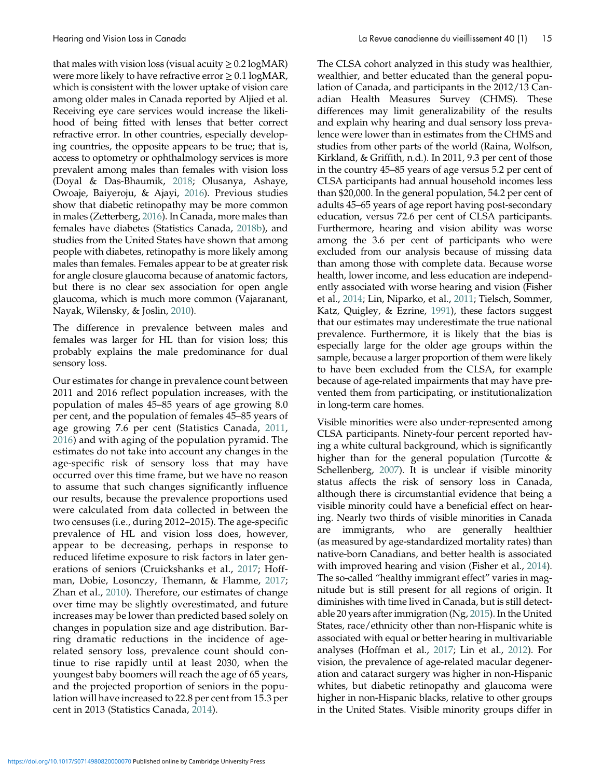that males with vision loss (visual acuity  $\geq 0.2 \log{\text{MAR}}$ ) were more likely to have refractive error  $\geq 0.1 \log \text{MAR}$ , which is consistent with the lower uptake of vision care among older males in Canada reported by Aljied et al. Receiving eye care services would increase the likelihood of being fitted with lenses that better correct refractive error. In other countries, especially developing countries, the opposite appears to be true; that is, access to optometry or ophthalmology services is more prevalent among males than females with vision loss (Doyal & Das-Bhaumik, [2018;](#page-17-0) Olusanya, Ashaye, Owoaje, Baiyeroju, & Ajayi, [2016\)](#page-19-0). Previous studies show that diabetic retinopathy may be more common in males (Zetterberg, [2016\)](#page-21-0). In Canada, more males than females have diabetes (Statistics Canada, [2018b\)](#page-20-0), and studies from the United States have shown that among people with diabetes, retinopathy is more likely among males than females. Females appear to be at greater risk for angle closure glaucoma because of anatomic factors, but there is no clear sex association for open angle glaucoma, which is much more common (Vajaranant, Nayak, Wilensky, & Joslin, [2010\)](#page-20-0).

The difference in prevalence between males and females was larger for HL than for vision loss; this probably explains the male predominance for dual sensory loss.

Our estimates for change in prevalence count between 2011 and 2016 reflect population increases, with the population of males 45–85 years of age growing 8.0 per cent, and the population of females 45–85 years of age growing 7.6 per cent (Statistics Canada, [2011](#page-19-0), [2016](#page-20-0)) and with aging of the population pyramid. The estimates do not take into account any changes in the age-specific risk of sensory loss that may have occurred over this time frame, but we have no reason to assume that such changes significantly influence our results, because the prevalence proportions used were calculated from data collected in between the two censuses (i.e., during 2012–2015). The age-specific prevalence of HL and vision loss does, however, appear to be decreasing, perhaps in response to reduced lifetime exposure to risk factors in later generations of seniors (Cruickshanks et al., [2017](#page-17-0); Hoffman, Dobie, Losonczy, Themann, & Flamme, [2017](#page-18-0); Zhan et al., [2010](#page-21-0)). Therefore, our estimates of change over time may be slightly overestimated, and future increases may be lower than predicted based solely on changes in population size and age distribution. Barring dramatic reductions in the incidence of agerelated sensory loss, prevalence count should continue to rise rapidly until at least 2030, when the youngest baby boomers will reach the age of 65 years, and the projected proportion of seniors in the population will have increased to 22.8 per cent from 15.3 per cent in 2013 (Statistics Canada, [2014\)](#page-20-0).

The CLSA cohort analyzed in this study was healthier, wealthier, and better educated than the general population of Canada, and participants in the 2012/13 Canadian Health Measures Survey (CHMS). These differences may limit generalizability of the results and explain why hearing and dual sensory loss prevalence were lower than in estimates from the CHMS and studies from other parts of the world (Raina, Wolfson, Kirkland, & Griffith, n.d.). In 2011, 9.3 per cent of those in the country 45–85 years of age versus 5.2 per cent of CLSA participants had annual household incomes less than \$20,000. In the general population, 54.2 per cent of adults 45–65 years of age report having post-secondary education, versus 72.6 per cent of CLSA participants. Furthermore, hearing and vision ability was worse among the 3.6 per cent of participants who were excluded from our analysis because of missing data than among those with complete data. Because worse health, lower income, and less education are independently associated with worse hearing and vision (Fisher et al., [2014;](#page-17-0) Lin, Niparko, et al., [2011;](#page-18-0) Tielsch, Sommer, Katz, Quigley, & Ezrine, [1991\)](#page-20-0), these factors suggest that our estimates may underestimate the true national prevalence. Furthermore, it is likely that the bias is especially large for the older age groups within the sample, because a larger proportion of them were likely to have been excluded from the CLSA, for example because of age-related impairments that may have prevented them from participating, or institutionalization in long-term care homes.

Visible minorities were also under-represented among CLSA participants. Ninety-four percent reported having a white cultural background, which is significantly higher than for the general population (Turcotte  $\&$ Schellenberg, [2007\)](#page-20-0). It is unclear if visible minority status affects the risk of sensory loss in Canada, although there is circumstantial evidence that being a visible minority could have a beneficial effect on hearing. Nearly two thirds of visible minorities in Canada are immigrants, who are generally healthier (as measured by age-standardized mortality rates) than native-born Canadians, and better health is associated with improved hearing and vision (Fisher et al., [2014](#page-17-0)). The so-called "healthy immigrant effect" varies in magnitude but is still present for all regions of origin. It diminishes with time lived in Canada, but is still detectable 20 years after immigration (Ng, [2015](#page-19-0)). In the United States, race/ethnicity other than non-Hispanic white is associated with equal or better hearing in multivariable analyses (Hoffman et al., [2017](#page-18-0); Lin et al., [2012\)](#page-18-0). For vision, the prevalence of age-related macular degeneration and cataract surgery was higher in non-Hispanic whites, but diabetic retinopathy and glaucoma were higher in non-Hispanic blacks, relative to other groups in the United States. Visible minority groups differ in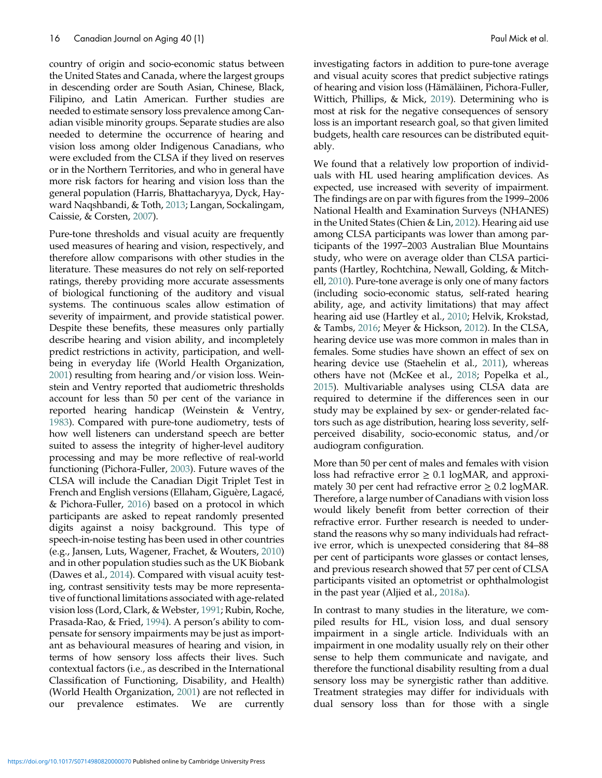country of origin and socio-economic status between the United States and Canada, where the largest groups in descending order are South Asian, Chinese, Black, Filipino, and Latin American. Further studies are needed to estimate sensory loss prevalence among Canadian visible minority groups. Separate studies are also needed to determine the occurrence of hearing and vision loss among older Indigenous Canadians, who were excluded from the CLSA if they lived on reserves or in the Northern Territories, and who in general have more risk factors for hearing and vision loss than the general population (Harris, Bhattacharyya, Dyck, Hayward Naqshbandi, & Toth, [2013;](#page-18-0) Langan, Sockalingam, Caissie, & Corsten, [2007](#page-18-0)).

Pure-tone thresholds and visual acuity are frequently used measures of hearing and vision, respectively, and therefore allow comparisons with other studies in the literature. These measures do not rely on self-reported ratings, thereby providing more accurate assessments of biological functioning of the auditory and visual systems. The continuous scales allow estimation of severity of impairment, and provide statistical power. Despite these benefits, these measures only partially describe hearing and vision ability, and incompletely predict restrictions in activity, participation, and wellbeing in everyday life (World Health Organization, [2001](#page-20-0)) resulting from hearing and/or vision loss. Weinstein and Ventry reported that audiometric thresholds account for less than 50 per cent of the variance in reported hearing handicap (Weinstein & Ventry, [1983](#page-20-0)). Compared with pure-tone audiometry, tests of how well listeners can understand speech are better suited to assess the integrity of higher-level auditory processing and may be more reflective of real-world functioning (Pichora-Fuller, [2003](#page-19-0)). Future waves of the CLSA will include the Canadian Digit Triplet Test in French and English versions (Ellaham, Giguère, Lagacé, & Pichora-Fuller, [2016\)](#page-17-0) based on a protocol in which participants are asked to repeat randomly presented digits against a noisy background. This type of speech-in-noise testing has been used in other countries (e.g., Jansen, Luts, Wagener, Frachet, & Wouters, [2010](#page-18-0)) and in other population studies such as the UK Biobank (Dawes et al., [2014\)](#page-17-0). Compared with visual acuity testing, contrast sensitivity tests may be more representative of functional limitations associated with age-related vision loss (Lord, Clark, & Webster, [1991;](#page-19-0) Rubin, Roche, Prasada-Rao, & Fried, [1994](#page-19-0)). A person's ability to compensate for sensory impairments may be just as important as behavioural measures of hearing and vision, in terms of how sensory loss affects their lives. Such contextual factors (i.e., as described in the International Classification of Functioning, Disability, and Health) (World Health Organization, [2001](#page-20-0)) are not reflected in our prevalence estimates. We are currently

investigating factors in addition to pure-tone average and visual acuity scores that predict subjective ratings investigating factors in addition to pure-tone average<br>and visual acuity scores that predict subjective ratings<br>of hearing and vision loss (Hämäläinen, Pichora-Fuller, Wittich, Phillips, & Mick, [2019](#page-18-0)). Determining who is most at risk for the negative consequences of sensory loss is an important research goal, so that given limited budgets, health care resources can be distributed equitably.

We found that a relatively low proportion of individuals with HL used hearing amplification devices. As expected, use increased with severity of impairment. The findings are on par with figures from the 1999–2006 National Health and Examination Surveys (NHANES) in the United States (Chien & Lin, [2012\)](#page-17-0). Hearing aid use among CLSA participants was lower than among participants of the 1997–2003 Australian Blue Mountains study, who were on average older than CLSA participants (Hartley, Rochtchina, Newall, Golding, & Mitchell, [2010\)](#page-18-0). Pure-tone average is only one of many factors (including socio-economic status, self-rated hearing ability, age, and activity limitations) that may affect hearing aid use (Hartley et al., [2010](#page-18-0); Helvik, Krokstad, & Tambs, [2016](#page-18-0); Meyer & Hickson, [2012\)](#page-19-0). In the CLSA, hearing device use was more common in males than in females. Some studies have shown an effect of sex on hearing device use (Staehelin et al., [2011\)](#page-19-0), whereas others have not (McKee et al., [2018](#page-19-0); Popelka et al., [2015](#page-19-0)). Multivariable analyses using CLSA data are required to determine if the differences seen in our study may be explained by sex- or gender-related factors such as age distribution, hearing loss severity, selfperceived disability, socio-economic status, and/or audiogram configuration.

More than 50 per cent of males and females with vision loss had refractive error  $\geq 0.1$  logMAR, and approximately 30 per cent had refractive error  $\geq 0.2$  logMAR. Therefore, a large number of Canadians with vision loss would likely benefit from better correction of their refractive error. Further research is needed to understand the reasons why so many individuals had refractive error, which is unexpected considering that 84–88 per cent of participants wore glasses or contact lenses, and previous research showed that 57 per cent of CLSA participants visited an optometrist or ophthalmologist in the past year (Aljied et al., [2018a](#page-17-0)).

In contrast to many studies in the literature, we compiled results for HL, vision loss, and dual sensory impairment in a single article. Individuals with an impairment in one modality usually rely on their other sense to help them communicate and navigate, and therefore the functional disability resulting from a dual sensory loss may be synergistic rather than additive. Treatment strategies may differ for individuals with dual sensory loss than for those with a single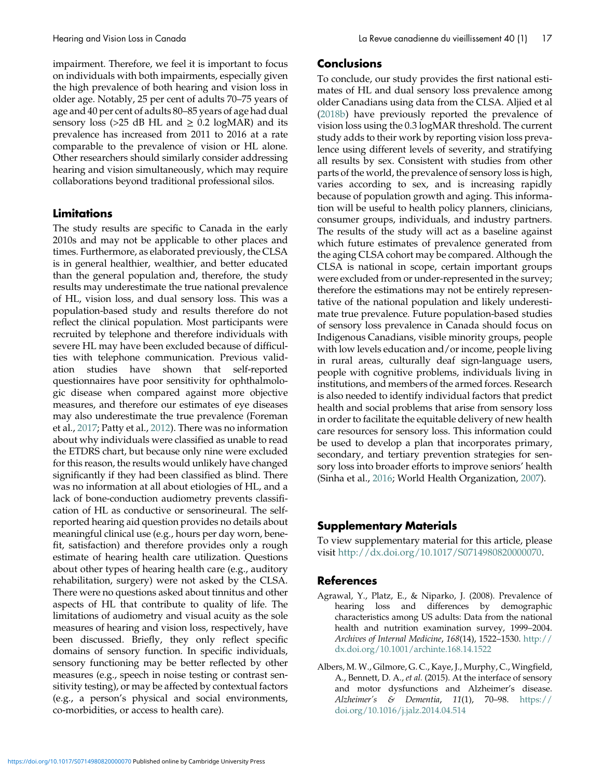<span id="page-16-0"></span>impairment. Therefore, we feel it is important to focus on individuals with both impairments, especially given the high prevalence of both hearing and vision loss in older age. Notably, 25 per cent of adults 70–75 years of age and 40 per cent of adults 80–85 years of age had dual sensory loss (>25 dB HL and  $\geq$  0.2 logMAR) and its prevalence has increased from 2011 to 2016 at a rate comparable to the prevalence of vision or HL alone. Other researchers should similarly consider addressing hearing and vision simultaneously, which may require collaborations beyond traditional professional silos.

# Limitations

The study results are specific to Canada in the early 2010s and may not be applicable to other places and times. Furthermore, as elaborated previously, the CLSA is in general healthier, wealthier, and better educated than the general population and, therefore, the study results may underestimate the true national prevalence of HL, vision loss, and dual sensory loss. This was a population-based study and results therefore do not reflect the clinical population. Most participants were recruited by telephone and therefore individuals with severe HL may have been excluded because of difficulties with telephone communication. Previous validation studies have shown that self-reported questionnaires have poor sensitivity for ophthalmologic disease when compared against more objective measures, and therefore our estimates of eye diseases may also underestimate the true prevalence (Foreman et al., [2017;](#page-17-0) Patty et al., [2012](#page-19-0)). There was no information about why individuals were classified as unable to read the ETDRS chart, but because only nine were excluded for this reason, the results would unlikely have changed significantly if they had been classified as blind. There was no information at all about etiologies of HL, and a lack of bone-conduction audiometry prevents classification of HL as conductive or sensorineural. The selfreported hearing aid question provides no details about meaningful clinical use (e.g., hours per day worn, benefit, satisfaction) and therefore provides only a rough estimate of hearing health care utilization. Questions about other types of hearing health care (e.g., auditory rehabilitation, surgery) were not asked by the CLSA. There were no questions asked about tinnitus and other aspects of HL that contribute to quality of life. The limitations of audiometry and visual acuity as the sole measures of hearing and vision loss, respectively, have been discussed. Briefly, they only reflect specific domains of sensory function. In specific individuals, sensory functioning may be better reflected by other measures (e.g., speech in noise testing or contrast sensitivity testing), or may be affected by contextual factors (e.g., a person's physical and social environments, co-morbidities, or access to health care).

# Conclusions

To conclude, our study provides the first national estimates of HL and dual sensory loss prevalence among older Canadians using data from the CLSA. Aljied et al [\(2018b](#page-17-0)) have previously reported the prevalence of vision loss using the 0.3 logMAR threshold. The current study adds to their work by reporting vision loss prevalence using different levels of severity, and stratifying all results by sex. Consistent with studies from other parts of the world, the prevalence of sensory loss is high, varies according to sex, and is increasing rapidly because of population growth and aging. This information will be useful to health policy planners, clinicians, consumer groups, individuals, and industry partners. The results of the study will act as a baseline against which future estimates of prevalence generated from the aging CLSA cohort may be compared. Although the CLSA is national in scope, certain important groups were excluded from or under-represented in the survey; therefore the estimations may not be entirely representative of the national population and likely underestimate true prevalence. Future population-based studies of sensory loss prevalence in Canada should focus on Indigenous Canadians, visible minority groups, people with low levels education and/or income, people living in rural areas, culturally deaf sign-language users, people with cognitive problems, individuals living in institutions, and members of the armed forces. Research is also needed to identify individual factors that predict health and social problems that arise from sensory loss in order to facilitate the equitable delivery of new health care resources for sensory loss. This information could be used to develop a plan that incorporates primary, secondary, and tertiary prevention strategies for sensory loss into broader efforts to improve seniors' health (Sinha et al., [2016](#page-19-0); World Health Organization, [2007\)](#page-20-0).

# Supplementary Materials

To view supplementary material for this article, please visit [http://dx.doi.org/10.1017/S0714980820000070.](http://dx.doi.org/10.1017/S0714980820000070)

# References

- Agrawal, Y., Platz, E., & Niparko, J. (2008). Prevalence of hearing loss and differences by demographic characteristics among US adults: Data from the national health and nutrition examination survey, 1999–2004. Archives of Internal Medicine, 168(14), 1522–1530. [http://](http://dx.doi.org/10.1001/archinte.168.14.1522) [dx.doi.org/10.1001/archinte.168.14.1522](http://dx.doi.org/10.1001/archinte.168.14.1522)
- Albers, M. W., Gilmore, G. C., Kaye, J., Murphy, C., Wingfield, A., Bennett, D. A., *et al.* (2015). At the interface of sensory and motor dysfunctions and Alzheimer's disease. Alzheimer's & Dementia,  $11(1)$ , 70–98. [https://](https://doi.org/10.1016/j.jalz.2014.04.514) [doi.org/10.1016/j.jalz.2014.04.514](https://doi.org/10.1016/j.jalz.2014.04.514)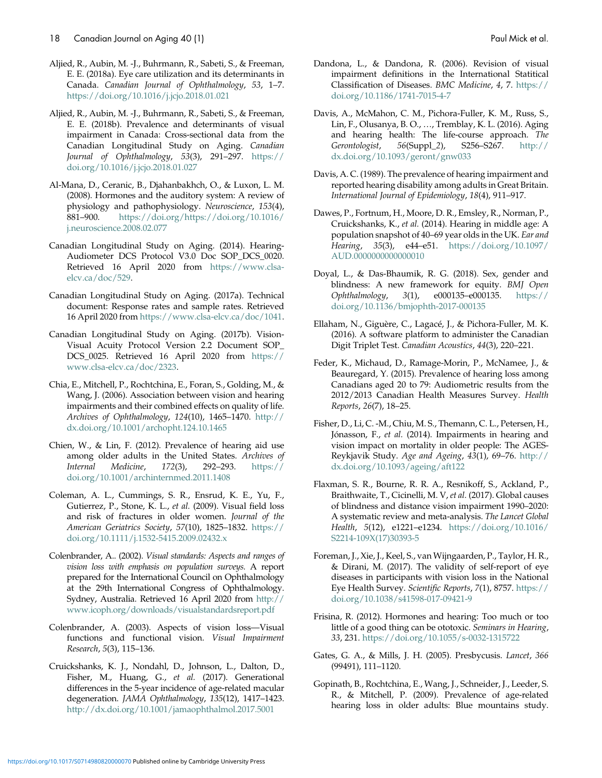- <span id="page-17-0"></span>Aljied, R., Aubin, M. -J., Buhrmann, R., Sabeti, S., & Freeman, E. E. (2018a). Eye care utilization and its determinants in Canada. Canadian Journal of Ophthalmology, 53, 1–7. <https://doi.org/10.1016/j.jcjo.2018.01.021>
- Aljied, R., Aubin, M. -J., Buhrmann, R., Sabeti, S., & Freeman, E. E. (2018b). Prevalence and determinants of visual impairment in Canada: Cross-sectional data from the Canadian Longitudinal Study on Aging. Canadian Journal of Ophthalmology, 53(3), 291-297. [https://](https://doi.org/10.1016/j.jcjo.2018.01.027) [doi.org/10.1016/j.jcjo.2018.01.027](https://doi.org/10.1016/j.jcjo.2018.01.027)
- Al-Mana, D., Ceranic, B., Djahanbakhch, O., & Luxon, L. M. (2008). Hormones and the auditory system: A review of physiology and pathophysiology. Neuroscience, 153(4), 881–900. [https://doi.org/https://doi.org/10.1016/](https://doi.org/https:/doi.org/10.1016/j.neuroscience.2008.02.077) [j.neuroscience.2008.02.077](https://doi.org/https:/doi.org/10.1016/j.neuroscience.2008.02.077)
- Canadian Longitudinal Study on Aging. (2014). Hearing-Audiometer DCS Protocol V3.0 Doc SOP\_DCS\_0020. Retrieved 16 April 2020 from [https://www.clsa](https://www.clsa-elcv.ca/doc/529)[elcv.ca/doc/529.](https://www.clsa-elcv.ca/doc/529)
- Canadian Longitudinal Study on Aging. (2017a). Technical document: Response rates and sample rates. Retrieved 16 April 2020 from [https://www.clsa-elcv.ca/doc/1041.](https://www.clsa-elcv.ca/doc/1041)
- Canadian Longitudinal Study on Aging. (2017b). Vision-Visual Acuity Protocol Version 2.2 Document SOP\_ DCS\_0025. Retrieved 16 April 2020 from [https://](https://www.clsa-elcv.ca/doc/2323) [www.clsa-elcv.ca/doc/2323.](https://www.clsa-elcv.ca/doc/2323)
- Chia, E., Mitchell, P., Rochtchina, E., Foran, S., Golding, M., & Wang, J. (2006). Association between vision and hearing impairments and their combined effects on quality of life. Archives of Ophthalmology, 124(10), 1465–1470. [http://](http://dx.doi.org/10.1001/archopht.124.10.1465) [dx.doi.org/10.1001/archopht.124.10.1465](http://dx.doi.org/10.1001/archopht.124.10.1465)
- Chien, W., & Lin, F. (2012). Prevalence of hearing aid use among older adults in the United States. Archives of Internal Medicine, 172(3), 292–293. [https://](https://doi.org/10.1001/archinternmed.2011.1408) [doi.org/10.1001/archinternmed.2011.1408](https://doi.org/10.1001/archinternmed.2011.1408)
- Coleman, A. L., Cummings, S. R., Ensrud, K. E., Yu, F., Gutierrez, P., Stone, K. L., et al. (2009). Visual field loss and risk of fractures in older women. Journal of the American Geriatrics Society, 57(10), 1825-1832. [https://](https://doi.org/10.1111/j.1532-5415.2009.02432.x) [doi.org/10.1111/j.1532-5415.2009.02432.x](https://doi.org/10.1111/j.1532-5415.2009.02432.x)
- Colenbrander, A.. (2002). Visual standards: Aspects and ranges of vision loss with emphasis on population surveys. A report prepared for the International Council on Ophthalmology at the 29th International Congress of Ophthalmology. Sydney, Australia. Retrieved 16 April 2020 from [http://](http://www.icoph.org/downloads/visualstandardsreport.pdf) [www.icoph.org/downloads/visualstandardsreport.pdf](http://www.icoph.org/downloads/visualstandardsreport.pdf)
- Colenbrander, A. (2003). Aspects of vision loss—Visual functions and functional vision. Visual Impairment Research, 5(3), 115–136.
- Cruickshanks, K. J., Nondahl, D., Johnson, L., Dalton, D., Fisher, M., Huang, G., et al. (2017). Generational differences in the 5-year incidence of age-related macular degeneration. JAMA Ophthalmology, 135(12), 1417–1423. <http://dx.doi.org/10.1001/jamaophthalmol.2017.5001>
- Dandona, L., & Dandona, R. (2006). Revision of visual impairment definitions in the International Statitical Classification of Diseases. BMC Medicine, 4, 7. [https://](https://doi.org/10.1186/1741-7015-4-7) [doi.org/10.1186/1741-7015-4-7](https://doi.org/10.1186/1741-7015-4-7)
- Davis, A., McMahon, C. M., Pichora-Fuller, K. M., Russ, S., Lin, F., Olusanya, B. O., …, Tremblay, K. L. (2016). Aging and hearing health: The life-course approach. The Gerontologist, 56(Suppl\_2), S256–S267. [http://](http://dx.doi.org/10.1093/geront/gnw033) [dx.doi.org/10.1093/geront/gnw033](http://dx.doi.org/10.1093/geront/gnw033)
- Davis, A. C. (1989). The prevalence of hearing impairment and reported hearing disability among adults in Great Britain. International Journal of Epidemiology, 18(4), 911–917.
- Dawes, P., Fortnum, H., Moore, D. R., Emsley, R., Norman, P., Cruickshanks, K., et al. (2014). Hearing in middle age: A population snapshot of 40–69 year olds in the UK. Ear and Hearing, 35(3), e44–e51. [https://doi.org/10.1097/](https://doi.org/10.1097/AUD.0000000000000010) [AUD.0000000000000010](https://doi.org/10.1097/AUD.0000000000000010)
- Doyal, L., & Das-Bhaumik, R. G. (2018). Sex, gender and blindness: A new framework for equity. BMJ Open Ophthalmology, 3(1), e000135–e000135. [https://](https://doi.org/10.1136/bmjophth-2017-000135) [doi.org/10.1136/bmjophth-2017-000135](https://doi.org/10.1136/bmjophth-2017-000135)
- Ellaham, N., Giguère, C., Lagacé, J., & Pichora-Fuller, M. K. (2016). A software platform to administer the Canadian Digit Triplet Test. Canadian Acoustics, 44(3), 220–221.
- Feder, K., Michaud, D., Ramage-Morin, P., McNamee, J., & Beauregard, Y. (2015). Prevalence of hearing loss among Canadians aged 20 to 79: Audiometric results from the 2012/2013 Canadian Health Measures Survey. Health Reports, 26(7), 18–25.
- Fisher, D., Li, C. -M., Chiu, M. S., Themann, C. L., Petersen, H., Jónasson, F., et al. (2014). Impairments in hearing and vision impact on mortality in older people: The AGES-Reykjavik Study. Age and Ageing, 43(1), 69–76. [http://](http://dx.doi.org/10.1093/ageing/aft122) [dx.doi.org/10.1093/ageing/aft122](http://dx.doi.org/10.1093/ageing/aft122)
- Flaxman, S. R., Bourne, R. R. A., Resnikoff, S., Ackland, P., Braithwaite, T., Cicinelli, M. V, et al. (2017). Global causes of blindness and distance vision impairment 1990–2020: A systematic review and meta-analysis. The Lancet Global Health, 5(12), e1221–e1234. [https://doi.org/10.1016/](https://doi.org/10.1016/S2214-109X(17)30393-5) [S2214-109X\(17\)30393-5](https://doi.org/10.1016/S2214-109X(17)30393-5)
- Foreman, J., Xie, J., Keel, S., van Wijngaarden, P., Taylor, H. R., & Dirani, M. (2017). The validity of self-report of eye diseases in participants with vision loss in the National Eye Health Survey. Scientific Reports, 7(1), 8757. [https://](https://doi.org/10.1038/s41598-017-09421-9) [doi.org/10.1038/s41598-017-09421-9](https://doi.org/10.1038/s41598-017-09421-9)
- Frisina, R. (2012). Hormones and hearing: Too much or too little of a good thing can be ototoxic. Seminars in Hearing, 33, 231. <https://doi.org/10.1055/s-0032-1315722>
- Gates, G. A., & Mills, J. H. (2005). Presbycusis. Lancet, 366 (99491), 111–1120.
- Gopinath, B., Rochtchina, E., Wang, J., Schneider, J., Leeder, S. R., & Mitchell, P. (2009). Prevalence of age-related hearing loss in older adults: Blue mountains study.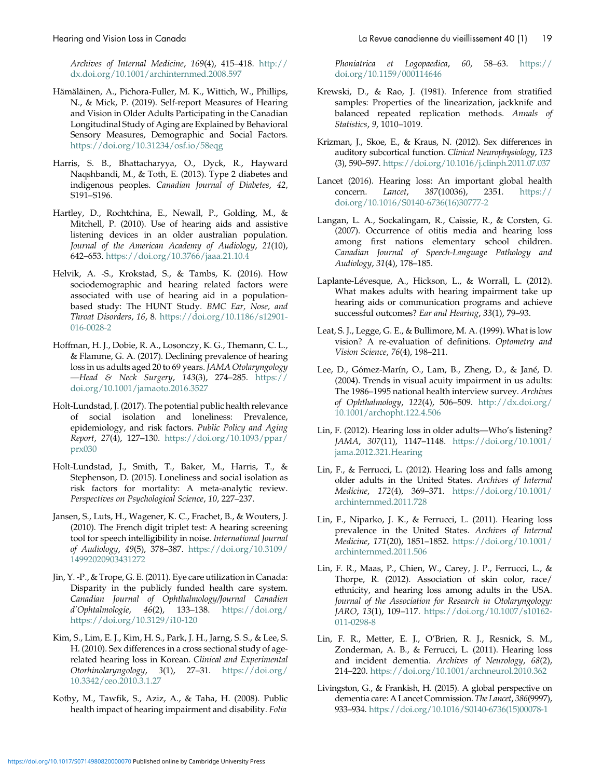<span id="page-18-0"></span>Archives of Internal Medicine, 169(4), 415–418. [http://](http://dx.doi.org/10.1001/archinternmed.2008.597) [dx.doi.org/10.1001/archinternmed.2008.597](http://dx.doi.org/10.1001/archinternmed.2008.597)

- Hämäläinen, A., Pichora‐Fuller, M. K., Wittich, W., Phillips, N., & Mick, P. (2019). Self-report Measures of Hearing and Vision in Older Adults Participating in the Canadian Longitudinal Study of Aging are Explained by Behavioral Sensory Measures, Demographic and Social Factors. <https://doi.org/10.31234/osf.io/58eqg>
- Harris, S. B., Bhattacharyya, O., Dyck, R., Hayward Naqshbandi, M., & Toth, E. (2013). Type 2 diabetes and indigenous peoples. Canadian Journal of Diabetes, 42, S191–S196.
- Hartley, D., Rochtchina, E., Newall, P., Golding, M., & Mitchell, P. (2010). Use of hearing aids and assistive listening devices in an older australian population. Journal of the American Academy of Audiology, 21(10), 642–653. <https://doi.org/10.3766/jaaa.21.10.4>
- Helvik, A. -S., Krokstad, S., & Tambs, K. (2016). How sociodemographic and hearing related factors were associated with use of hearing aid in a populationbased study: The HUNT Study. BMC Ear, Nose, and Throat Disorders, 16, 8. [https://doi.org/10.1186/s12901-](https://doi.org/10.1186/s12901-016-0028-2) [016-0028-2](https://doi.org/10.1186/s12901-016-0028-2)
- Hoffman, H. J., Dobie, R. A., Losonczy, K. G., Themann, C. L., & Flamme, G. A. (2017). Declining prevalence of hearing loss in us adults aged 20 to 69 years. JAMA Otolaryngology —Head & Neck Surgery, 143(3), 274–285. [https://](https://doi.org/10.1001/jamaoto.2016.3527) [doi.org/10.1001/jamaoto.2016.3527](https://doi.org/10.1001/jamaoto.2016.3527)
- Holt-Lundstad, J. (2017). The potential public health relevance of social isolation and loneliness: Prevalence, epidemiology, and risk factors. Public Policy and Aging Report, 27(4), 127–130. [https://doi.org/10.1093/ppar/](https://doi.org/10.1093/ppar/prx030) [prx030](https://doi.org/10.1093/ppar/prx030)
- Holt-Lundstad, J., Smith, T., Baker, M., Harris, T., & Stephenson, D. (2015). Loneliness and social isolation as risk factors for mortality: A meta-analytic review. Perspectives on Psychological Science, 10, 227–237.
- Jansen, S., Luts, H., Wagener, K. C., Frachet, B., & Wouters, J. (2010). The French digit triplet test: A hearing screening tool for speech intelligibility in noise. International Journal of Audiology, 49(5), 378–387. [https://doi.org/10.3109/](https://doi.org/10.3109/14992020903431272) [14992020903431272](https://doi.org/10.3109/14992020903431272)
- Jin, Y. -P., & Trope, G. E. (2011). Eye care utilization in Canada: Disparity in the publicly funded health care system. Canadian Journal of Ophthalmology/Journal Canadien  $d'Ophtalmologie, 46(2), 133–138.  $d'Ophtalmologie, 46(2), 133–138.$$ [https://doi.org/10.3129/i10-120](https://doi.org/https:/doi.org/10.3129/i10-120)
- Kim, S., Lim, E. J., Kim, H. S., Park, J. H., Jarng, S. S., & Lee, S. H. (2010). Sex differences in a cross sectional study of agerelated hearing loss in Korean. Clinical and Experimental Otorhinolaryngology, 3(1), 27–31. [https://doi.org/](https://doi.org/10.3342/ceo.2010.3.1.27) [10.3342/ceo.2010.3.1.27](https://doi.org/10.3342/ceo.2010.3.1.27)
- Kotby, M., Tawfik, S., Aziz, A., & Taha, H. (2008). Public health impact of hearing impairment and disability. Folia

Phoniatrica et Logopaedica, 60, 58–63. [https://](https://doi.org/10.1159/000114646) [doi.org/10.1159/000114646](https://doi.org/10.1159/000114646)

- Krewski, D., & Rao, J. (1981). Inference from stratified samples: Properties of the linearization, jackknife and balanced repeated replication methods. Annals of Statistics, 9, 1010–1019.
- Krizman, J., Skoe, E., & Kraus, N. (2012). Sex differences in auditory subcortical function. Clinical Neurophysiology, 123 (3), 590–597. <https://doi.org/10.1016/j.clinph.2011.07.037>
- Lancet (2016). Hearing loss: An important global health concern. Lancet, 387(10036), 2351. [https://](https://doi.org/10.1016/S0140-6736(16)30777-2) [doi.org/10.1016/S0140-6736\(16\)30777-2](https://doi.org/10.1016/S0140-6736(16)30777-2)
- Langan, L. A., Sockalingam, R., Caissie, R., & Corsten, G. (2007). Occurrence of otitis media and hearing loss among first nations elementary school children. Canadian Journal of Speech-Language Pathology and Audiology, 31(4), 178–185.
- Laplante-Lévesque, A., Hickson, L., & Worrall, L. (2012). What makes adults with hearing impairment take up hearing aids or communication programs and achieve successful outcomes? Ear and Hearing, 33(1), 79–93.
- Leat, S. J., Legge, G. E., & Bullimore, M. A. (1999). What is low vision? A re-evaluation of definitions. Optometry and Vision Science, 76(4), 198–211.
- Lee, D., Gómez-Marín, O., Lam, B., Zheng, D., & Jané, D. (2004). Trends in visual acuity impairment in us adults: The 1986–1995 national health interview survey. Archives of Ophthalmology, 122(4), 506–509. [http://dx.doi.org/](http://dx.doi.org/10.1001/archopht.122.4.506) [10.1001/archopht.122.4.506](http://dx.doi.org/10.1001/archopht.122.4.506)
- Lin, F. (2012). Hearing loss in older adults—Who's listening? JAMA, 307(11), 1147–1148. [https://doi.org/10.1001/](https://doi.org/10.1001/jama.2012.321.Hearing) [jama.2012.321.Hearing](https://doi.org/10.1001/jama.2012.321.Hearing)
- Lin, F., & Ferrucci, L. (2012). Hearing loss and falls among older adults in the United States. Archives of Internal Medicine, 172(4), 369–371. [https://doi.org/10.1001/](https://doi.org/10.1001/archinternmed.2011.728.Hearing) [archinternmed.2011.728](https://doi.org/10.1001/archinternmed.2011.728.Hearing)
- Lin, F., Niparko, J. K., & Ferrucci, L. (2011). Hearing loss prevalence in the United States. Archives of Internal Medicine, 171(20), 1851–1852. [https://doi.org/10.1001/](https://doi.org/10.1001/archinternmed.2011.506) [archinternmed.2011.506](https://doi.org/10.1001/archinternmed.2011.506)
- Lin, F. R., Maas, P., Chien, W., Carey, J. P., Ferrucci, L., & Thorpe, R. (2012). Association of skin color, race/ ethnicity, and hearing loss among adults in the USA. Journal of the Association for Research in Otolaryngology: JARO, 13(1), 109–117. [https://doi.org/10.1007/s10162-](https://doi.org/10.1007/s10162-011-0298-8) [011-0298-8](https://doi.org/10.1007/s10162-011-0298-8)
- Lin, F. R., Metter, E. J., O'Brien, R. J., Resnick, S. M., Zonderman, A. B., & Ferrucci, L. (2011). Hearing loss and incident dementia. Archives of Neurology, 68(2), 214–220. <https://doi.org/10.1001/archneurol.2010.362>
- Livingston, G., & Frankish, H. (2015). A global perspective on dementia care: A Lancet Commission. The Lancet, 386(9997), 933–934. [https://doi.org/10.1016/S0140-6736\(15\)00078-1](https:/doi.org/10.1016/S0140-6736(15)00078-1)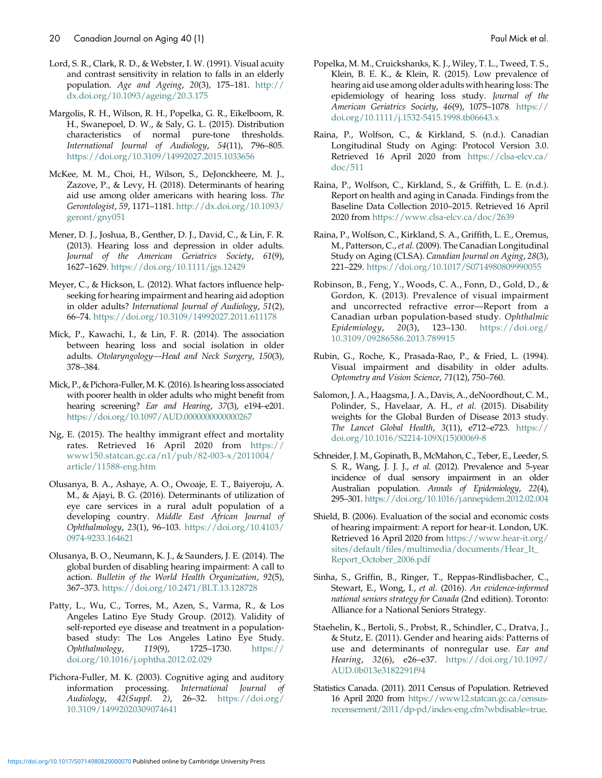- <span id="page-19-0"></span>Lord, S. R., Clark, R. D., & Webster, I. W. (1991). Visual acuity and contrast sensitivity in relation to falls in an elderly population. Age and Ageing, 20(3), 175–181. [http://](http://dx.doi.org/10.1093/ageing/20.3.175) [dx.doi.org/10.1093/ageing/20.3.175](http://dx.doi.org/10.1093/ageing/20.3.175)
- Margolis, R. H., Wilson, R. H., Popelka, G. R., Eikelboom, R. H., Swanepoel, D. W., & Saly, G. L. (2015). Distribution characteristics of normal pure-tone thresholds. International Journal of Audiology, 54(11), 796–805. <https://doi.org/10.3109/14992027.2015.1033656>
- McKee, M. M., Choi, H., Wilson, S., DeJonckheere, M. J., Zazove, P., & Levy, H. (2018). Determinants of hearing aid use among older americans with hearing loss. The Gerontologist, 59, 1171–1181. [http://dx.doi.org/10.1093/](http://dx.doi.org/10.1093/geront/gny051) [geront/gny051](http://dx.doi.org/10.1093/geront/gny051)
- Mener, D. J., Joshua, B., Genther, D. J., David, C., & Lin, F. R. (2013). Hearing loss and depression in older adults. Journal of the American Geriatrics Society, 61(9), 1627–1629. <https://doi.org/10.1111/jgs.12429>
- Meyer, C., & Hickson, L. (2012). What factors influence helpseeking for hearing impairment and hearing aid adoption in older adults? International Journal of Audiology, 51(2), 66–74. <https://doi.org/10.3109/14992027.2011.611178>
- Mick, P., Kawachi, I., & Lin, F. R. (2014). The association between hearing loss and social isolation in older adults. Otolaryngology—Head and Neck Surgery, 150(3), 378–384.
- Mick, P., & Pichora-Fuller, M. K. (2016). Is hearing loss associated with poorer health in older adults who might benefit from hearing screening? Ear and Hearing, 37(3), e194-e201. <https://doi.org/10.1097/AUD.0000000000000267>
- Ng, E. (2015). The healthy immigrant effect and mortality rates. Retrieved 16 April 2020 from [https://](https://www150.statcan.gc.ca/n1/pub/82-003-x/2011004/article/11588-eng.htm) [www150.statcan.gc.ca/n1/pub/82-003-x/2011004/](https://www150.statcan.gc.ca/n1/pub/82-003-x/2011004/article/11588-eng.htm) [article/11588-eng.htm](https://www150.statcan.gc.ca/n1/pub/82-003-x/2011004/article/11588-eng.htm)
- Olusanya, B. A., Ashaye, A. O., Owoaje, E. T., Baiyeroju, A. M., & Ajayi, B. G. (2016). Determinants of utilization of eye care services in a rural adult population of a developing country. Middle East African Journal of Ophthalmology, 23(1), 96–103. [https://doi.org/10.4103/](https://doi.org/10.4103/0974-9233.164621) [0974-9233.164621](https://doi.org/10.4103/0974-9233.164621)
- Olusanya, B. O., Neumann, K. J., & Saunders, J. E. (2014). The global burden of disabling hearing impairment: A call to action. Bulletin of the World Health Organization, 92(5), 367–373. <https://doi.org/10.2471/BLT.13.128728>
- Patty, L., Wu, C., Torres, M., Azen, S., Varma, R., & Los Angeles Latino Eye Study Group. (2012). Validity of self-reported eye disease and treatment in a populationbased study: The Los Angeles Latino Eye Study. Ophthalmology, 119(9), 1725–1730. [https://](https://doi.org/10.1016/j.ophtha.2012.02.029) [doi.org/10.1016/j.ophtha.2012.02.029](https://doi.org/10.1016/j.ophtha.2012.02.029)
- Pichora-Fuller, M. K. (2003). Cognitive aging and auditory information processing. International Journal of Audiology,  $42(Suppl. 2)$ , 26–32. [https://doi.org/](https://doi.org/10.3109/14992020309074641) [10.3109/14992020309074641](https://doi.org/10.3109/14992020309074641)
- Popelka, M. M., Cruickshanks, K. J., Wiley, T. L., Tweed, T. S.,
- Klein, B. E. K., & Klein, R. (2015). Low prevalence of hearing aid use among older adults with hearing loss: The epidemiology of hearing loss study. Journal of the American Geriatrics Society, 46(9), 1075-1078[. https://](file:///C:\Users\Rebecca\Downloads\.%20https:\doi.org\10.1111\j.1532-5415.1998.tb06643.x) [doi.org/10.1111/j.1532-5415.1998.tb06643.x](file:///C:\Users\Rebecca\Downloads\.%20https:\doi.org\10.1111\j.1532-5415.1998.tb06643.x)
- Raina, P., Wolfson, C., & Kirkland, S. (n.d.). Canadian Longitudinal Study on Aging: Protocol Version 3.0. Retrieved 16 April 2020 from [https://clsa-elcv.ca/](https://clsa-elcv.ca/doc/511) [doc/511](https://clsa-elcv.ca/doc/511)
- Raina, P., Wolfson, C., Kirkland, S., & Griffith, L. E. (n.d.). Report on health and aging in Canada. Findings from the Baseline Data Collection 2010–2015. Retrieved 16 April 2020 from <https://www.clsa-elcv.ca/doc/2639>
- Raina, P., Wolfson, C., Kirkland, S. A., Griffith, L. E., Oremus, M., Patterson, C., et al. (2009). The Canadian Longitudinal Study on Aging (CLSA). Canadian Journal on Aging, 28(3), 221–229. <https://doi.org/10.1017/S0714980809990055>
- Robinson, B., Feng, Y., Woods, C. A., Fonn, D., Gold, D., & Gordon, K. (2013). Prevalence of visual impairment and uncorrected refractive error—Report from a Canadian urban population-based study. Ophthalmic Epidemiology, 20(3), 123–130. [https://doi.org/](https://doi.org/10.3109/09286586.2013.789915) [10.3109/09286586.2013.789915](https://doi.org/10.3109/09286586.2013.789915)
- Rubin, G., Roche, K., Prasada-Rao, P., & Fried, L. (1994). Visual impairment and disability in older adults. Optometry and Vision Science, 71(12), 750–760.
- Salomon, J. A., Haagsma, J. A., Davis, A., deNoordhout, C. M., Polinder, S., Havelaar, A. H., et al. (2015). Disability weights for the Global Burden of Disease 2013 study. The Lancet Global Health,  $3(11)$ ,  $e712-e723$ . [https://](https://doi.org/10.1016/S2214-109X(15)00069-8) [doi.org/10.1016/S2214-109X\(15\)00069-8](https://doi.org/10.1016/S2214-109X(15)00069-8)
- Schneider, J. M., Gopinath, B., McMahon, C., Teber, E., Leeder, S. S. R., Wang, J. J. J., et al. (2012). Prevalence and 5-year incidence of dual sensory impairment in an older Australian population. Annals of Epidemiology, 22(4), 295–301. <https://doi.org/10.1016/j.annepidem.2012.02.004>
- Shield, B. (2006). Evaluation of the social and economic costs of hearing impairment: A report for hear-it. London, UK. Retrieved 16 April 2020 from [https://www.hear-it.org/](https://www.hear-it.org/sites/default/files/multimedia/documents/Hear_It_Report_October_2006.pdf) [sites/default/files/multimedia/documents/Hear\\_It\\_](https://www.hear-it.org/sites/default/files/multimedia/documents/Hear_It_Report_October_2006.pdf) [Report\\_October\\_2006.pdf](https://www.hear-it.org/sites/default/files/multimedia/documents/Hear_It_Report_October_2006.pdf)
- Sinha, S., Griffin, B., Ringer, T., Reppas-Rindlisbacher, C., Stewart, E., Wong, I., et al. (2016). An evidence-informed national seniors strategy for Canada (2nd edition). Toronto: Alliance for a National Seniors Strategy.
- Staehelin, K., Bertoli, S., Probst, R., Schindler, C., Dratva, J., & Stutz, E. (2011). Gender and hearing aids: Patterns of use and determinants of nonregular use. Ear and Hearing, 32(6), e26–e37. [https://doi.org/10.1097/](https://doi.org/10.1097/AUD.0b013e3182291f94) [AUD.0b013e3182291f94](https://doi.org/10.1097/AUD.0b013e3182291f94)
- Statistics Canada. (2011). 2011 Census of Population. Retrieved 16 April 2020 from [https://www12.statcan.gc.ca/census](https://www12.statcan.gc.ca/census-recensement/2011/dp-pd/index-eng.cfm?wbdisable=true)[recensement/2011/dp-pd/index-eng.cfm?wbdisable=true.](https://www12.statcan.gc.ca/census-recensement/2011/dp-pd/index-eng.cfm?wbdisable=true)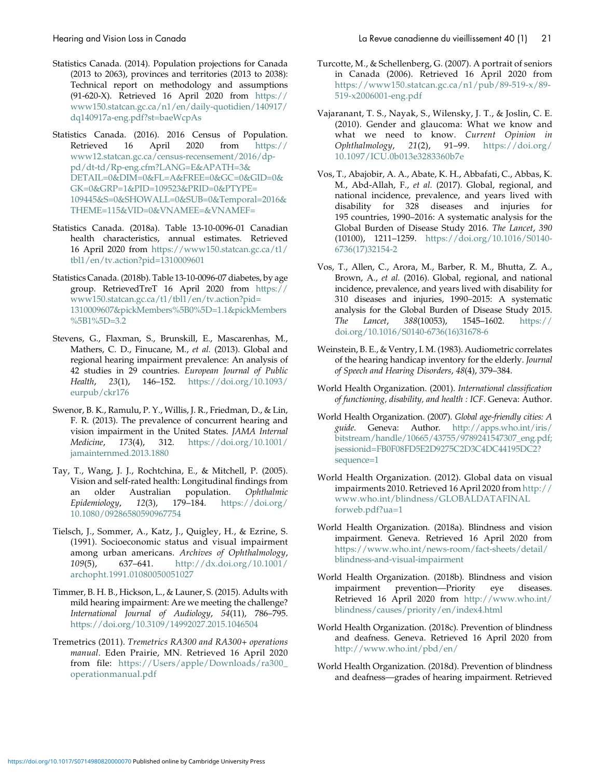- <span id="page-20-0"></span>Statistics Canada. (2014). Population projections for Canada (2013 to 2063), provinces and territories (2013 to 2038): Technical report on methodology and assumptions (91-620-X). Retrieved 16 April 2020 from [https://](https://www150.statcan.gc.ca/n1/en/daily-quotidien/140917/dq140917a-eng.pdf?st=baeWcpAs) [www150.statcan.gc.ca/n1/en/daily-quotidien/140917/](https://www150.statcan.gc.ca/n1/en/daily-quotidien/140917/dq140917a-eng.pdf?st=baeWcpAs) [dq140917a-eng.pdf?st=baeWcpAs](https://www150.statcan.gc.ca/n1/en/daily-quotidien/140917/dq140917a-eng.pdf?st=baeWcpAs)
- Statistics Canada. (2016). 2016 Census of Population. Retrieved 16 April 2020 from [https://](https://www12.statcan.gc.ca/census-recensement/2016/dp-pd/dt-td/Rp-eng.cfm?LANG=EAPATH=3DETAIL=0DIM=0FL=AFREE=0GC=0GID=0GK=0GRP=1PID=109523PRID=0PTYPE=109445S=0SHOWALL=0SUB=0Temporal=2016THEME=115VID=0VNAMEE=VNAMEF=) [www12.statcan.gc.ca/census-recensement/2016/dp](https://www12.statcan.gc.ca/census-recensement/2016/dp-pd/dt-td/Rp-eng.cfm?LANG=EAPATH=3DETAIL=0DIM=0FL=AFREE=0GC=0GID=0GK=0GRP=1PID=109523PRID=0PTYPE=109445S=0SHOWALL=0SUB=0Temporal=2016THEME=115VID=0VNAMEE=VNAMEF=)[pd/dt-td/Rp-eng.cfm?LANG=E&APATH=3&](https://www12.statcan.gc.ca/census-recensement/2016/dp-pd/dt-td/Rp-eng.cfm?LANG=EAPATH=3DETAIL=0DIM=0FL=AFREE=0GC=0GID=0GK=0GRP=1PID=109523PRID=0PTYPE=109445S=0SHOWALL=0SUB=0Temporal=2016THEME=115VID=0VNAMEE=VNAMEF=) [DETAIL=0&DIM=0&FL=A&FREE=0&GC=0&GID=0&](https://www12.statcan.gc.ca/census-recensement/2016/dp-pd/dt-td/Rp-eng.cfm?LANG=EAPATH=3DETAIL=0DIM=0FL=AFREE=0GC=0GID=0GK=0GRP=1PID=109523PRID=0PTYPE=109445S=0SHOWALL=0SUB=0Temporal=2016THEME=115VID=0VNAMEE=VNAMEF=) [GK=0&GRP=1&PID=109523&PRID=0&PTYPE=](https://www12.statcan.gc.ca/census-recensement/2016/dp-pd/dt-td/Rp-eng.cfm?LANG=EAPATH=3DETAIL=0DIM=0FL=AFREE=0GC=0GID=0GK=0GRP=1PID=109523PRID=0PTYPE=109445S=0SHOWALL=0SUB=0Temporal=2016THEME=115VID=0VNAMEE=VNAMEF=) [109445&S=0&SHOWALL=0&SUB=0&Temporal=2016&](https://www12.statcan.gc.ca/census-recensement/2016/dp-pd/dt-td/Rp-eng.cfm?LANG=EAPATH=3DETAIL=0DIM=0FL=AFREE=0GC=0GID=0GK=0GRP=1PID=109523PRID=0PTYPE=109445S=0SHOWALL=0SUB=0Temporal=2016THEME=115VID=0VNAMEE=VNAMEF=) [THEME=115&VID=0&VNAMEE=&VNAMEF=](https://www12.statcan.gc.ca/census-recensement/2016/dp-pd/dt-td/Rp-eng.cfm?LANG=EAPATH=3DETAIL=0DIM=0FL=AFREE=0GC=0GID=0GK=0GRP=1PID=109523PRID=0PTYPE=109445S=0SHOWALL=0SUB=0Temporal=2016THEME=115VID=0VNAMEE=VNAMEF=)
- Statistics Canada. (2018a). Table 13-10-0096-01 Canadian health characteristics, annual estimates. Retrieved 16 April 2020 from [https://www150.statcan.gc.ca/t1/](https://www150.statcan.gc.ca/t1/tbl1/en/tv.action?pid=1310009601) [tbl1/en/tv.action?pid=1310009601](https://www150.statcan.gc.ca/t1/tbl1/en/tv.action?pid=1310009601)
- Statistics Canada. (2018b). Table 13-10-0096-07 diabetes, by age group. RetrievedTreT 16 April 2020 from [https://](https://www150.statcan.gc.ca/t1/tbl1/en/tv.action?pid=1310009607pickMembers%5B0%5D=1.1pickMembers%5B1%5D=3.2) [www150.statcan.gc.ca/t1/tbl1/en/tv.action?pid=](https://www150.statcan.gc.ca/t1/tbl1/en/tv.action?pid=1310009607pickMembers%5B0%5D=1.1pickMembers%5B1%5D=3.2) [1310009607&pickMembers%5B0%5D=1.1&pickMembers](https://www150.statcan.gc.ca/t1/tbl1/en/tv.action?pid=1310009607pickMembers%5B0%5D=1.1pickMembers%5B1%5D=3.2) [%5B1%5D=3.2](https://www150.statcan.gc.ca/t1/tbl1/en/tv.action?pid=1310009607pickMembers%5B0%5D=1.1pickMembers%5B1%5D=3.2)
- Stevens, G., Flaxman, S., Brunskill, E., Mascarenhas, M., Mathers, C. D., Finucane, M., et al. (2013). Global and regional hearing impairment prevalence: An analysis of 42 studies in 29 countries. European Journal of Public Health, 23(1), 146–152. [https://doi.org/10.1093/](https://doi.org/10.1093/eurpub/ckr176) [eurpub/ckr176](https://doi.org/10.1093/eurpub/ckr176)
- Swenor, B. K., Ramulu, P. Y., Willis, J. R., Friedman, D., & Lin, F. R. (2013). The prevalence of concurrent hearing and vision impairment in the United States. JAMA Internal Medicine, 173(4), 312. [https://doi.org/10.1001/](https://doi.org/10.1001/jamainternmed.2013.1880) [jamainternmed.2013.1880](https://doi.org/10.1001/jamainternmed.2013.1880)
- Tay, T., Wang, J. J., Rochtchina, E., & Mitchell, P. (2005). Vision and self-rated health: Longitudinal findings from an older Australian population. Ophthalmic Epidemiology, 12(3), 179–184. [https://doi.org/](https://doi.org/10.1080/09286580590967754) [10.1080/09286580590967754](https://doi.org/10.1080/09286580590967754)
- Tielsch, J., Sommer, A., Katz, J., Quigley, H., & Ezrine, S. (1991). Socioeconomic status and visual impairment among urban americans. Archives of Ophthalmology, 109(5), 637–641. [http://dx.doi.org/10.1001/](http://dx.doi.org/10.1001/archopht.1991.01080050051027) [archopht.1991.01080050051027](http://dx.doi.org/10.1001/archopht.1991.01080050051027)
- Timmer, B. H. B., Hickson, L., & Launer, S. (2015). Adults with mild hearing impairment: Are we meeting the challenge? International Journal of Audiology, 54(11), 786–795. <https://doi.org/10.3109/14992027.2015.1046504>
- Tremetrics (2011). Tremetrics RA300 and RA300+ operations manual. Eden Prairie, MN. Retrieved 16 April 2020 from file: [https://Users/apple/Downloads/ra300\\_](https://Users/apple/Downloads/ra300_operationmanual.pdf) [operationmanual.pdf](https://Users/apple/Downloads/ra300_operationmanual.pdf)
- Turcotte, M., & Schellenberg, G. (2007). A portrait of seniors in Canada (2006). Retrieved 16 April 2020 from [https://www150.statcan.gc.ca/n1/pub/89-519-x/89-](https://www150.statcan.gc.ca/n1/pub/89-519-x/89-519-x2006001-eng.pdf) [519-x2006001-eng.pdf](https://www150.statcan.gc.ca/n1/pub/89-519-x/89-519-x2006001-eng.pdf)
- Vajaranant, T. S., Nayak, S., Wilensky, J. T., & Joslin, C. E. (2010). Gender and glaucoma: What we know and what we need to know. Current Opinion in Ophthalmology, 21(2), 91–99. [https://doi.org/](https://doi.org/10.1097/ICU.0b013e3283360b7e) [10.1097/ICU.0b013e3283360b7e](https://doi.org/10.1097/ICU.0b013e3283360b7e)
- Vos, T., Abajobir, A. A., Abate, K. H., Abbafati, C., Abbas, K. M., Abd-Allah, F., et al. (2017). Global, regional, and national incidence, prevalence, and years lived with disability for 328 diseases and injuries for 195 countries, 1990–2016: A systematic analysis for the Global Burden of Disease Study 2016. The Lancet, 390 (10100), 1211–1259. [https://doi.org/10.1016/S0140-](https://doi.org/10.1016/S0140-6736(17)32154-2) [6736\(17\)32154-2](https://doi.org/10.1016/S0140-6736(17)32154-2)
- Vos, T., Allen, C., Arora, M., Barber, R. M., Bhutta, Z. A., Brown, A., et al. (2016). Global, regional, and national incidence, prevalence, and years lived with disability for 310 diseases and injuries, 1990–2015: A systematic analysis for the Global Burden of Disease Study 2015. The Lancet, 388(10053), 1545–1602. [https://](https://doi.org/10.1016/S0140-6736(16)31678-6) [doi.org/10.1016/S0140-6736\(16\)31678-6](https://doi.org/10.1016/S0140-6736(16)31678-6)
- Weinstein, B. E., & Ventry, I. M. (1983). Audiometric correlates of the hearing handicap inventory for the elderly. Journal of Speech and Hearing Disorders, 48(4), 379–384.
- World Health Organization. (2001). International classification of functioning, disability, and health : ICF. Geneva: Author.
- World Health Organization. (2007). Global age-friendly cities: A guide. Geneva: Author. [http://apps.who.int/iris/](http://apps.who.int/iris/bitstream/handle/10665/43755/9789241547307_eng.pdf;jsessionid=FB0F08FD5E2D9275C2D3C4DC44195DC2?sequence=1) [bitstream/handle/10665/43755/9789241547307\\_eng.pdf;](http://apps.who.int/iris/bitstream/handle/10665/43755/9789241547307_eng.pdf;jsessionid=FB0F08FD5E2D9275C2D3C4DC44195DC2?sequence=1) [jsessionid=FB0F08FD5E2D9275C2D3C4DC44195DC2?](http://apps.who.int/iris/bitstream/handle/10665/43755/9789241547307_eng.pdf;jsessionid=FB0F08FD5E2D9275C2D3C4DC44195DC2?sequence=1) [sequence=1](http://apps.who.int/iris/bitstream/handle/10665/43755/9789241547307_eng.pdf;jsessionid=FB0F08FD5E2D9275C2D3C4DC44195DC2?sequence=1)
- World Health Organization. (2012). Global data on visual impairments 2010. Retrieved 16 April 2020 from [http://](http://www.who.int/blindness/GLOBALDATAFINALforweb.pdf?ua=1) [www.who.int/blindness/GLOBALDATAFINAL](http://www.who.int/blindness/GLOBALDATAFINALforweb.pdf?ua=1) [forweb.pdf?ua=1](http://www.who.int/blindness/GLOBALDATAFINALforweb.pdf?ua=1)
- World Health Organization. (2018a). Blindness and vision impairment. Geneva. Retrieved 16 April 2020 from [https://www.who.int/news-room/fact-sheets/detail/](https://www.who.int/news-room/fact-sheets/detail/blindness-and-visual-impairment) [blindness-and-visual-impairment](https://www.who.int/news-room/fact-sheets/detail/blindness-and-visual-impairment)
- World Health Organization. (2018b). Blindness and vision impairment prevention—Priority eye diseases. Retrieved 16 April 2020 from [http://www.who.int/](http://www.who.int/blindness/causes/priority/en/index4.html) [blindness/causes/priority/en/index4.html](http://www.who.int/blindness/causes/priority/en/index4.html)
- World Health Organization. (2018c). Prevention of blindness and deafness. Geneva. Retrieved 16 April 2020 from <http://www.who.int/pbd/en/>
- World Health Organization. (2018d). Prevention of blindness and deafness—grades of hearing impairment. Retrieved